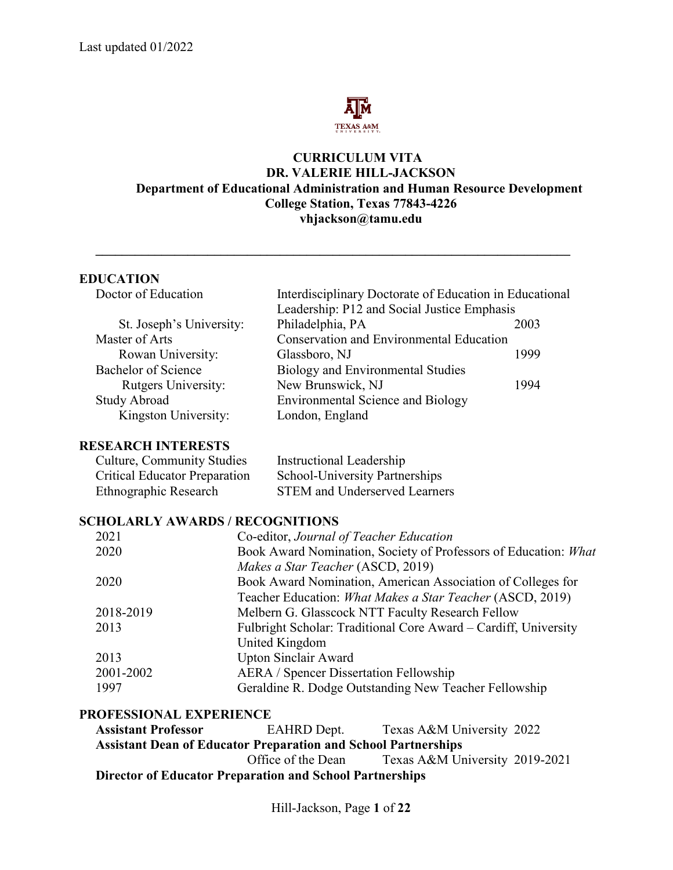

#### **CURRICULUM VITA DR. VALERIE HILL-JACKSON Department of Educational Administration and Human Resource Development College Station, Texas 77843-4226 vhjackson@tamu.edu**

# **EDUCATION**<br>Doctor of Education

| Doctor of Education        | Interdisciplinary Doctorate of Education in Educational |      |
|----------------------------|---------------------------------------------------------|------|
|                            | Leadership: P12 and Social Justice Emphasis             |      |
| St. Joseph's University:   | Philadelphia, PA                                        | 2003 |
| Master of Arts             | <b>Conservation and Environmental Education</b>         |      |
| Rowan University:          | Glassboro, NJ                                           | 1999 |
| Bachelor of Science        | Biology and Environmental Studies                       |      |
| <b>Rutgers University:</b> | New Brunswick, NJ                                       | 1994 |
| <b>Study Abroad</b>        | <b>Environmental Science and Biology</b>                |      |
| Kingston University:       | London, England                                         |      |
|                            |                                                         |      |

**\_\_\_\_\_\_\_\_\_\_\_\_\_\_\_\_\_\_\_\_\_\_\_\_\_\_\_\_\_\_\_\_\_\_\_\_\_\_\_\_\_\_\_\_\_\_\_\_\_\_\_\_\_\_\_\_\_\_\_\_\_\_\_\_\_\_\_\_\_\_\_\_**

#### **RESEARCH INTERESTS**

| <b>Culture, Community Studies</b>    | Instructional Leadership              |
|--------------------------------------|---------------------------------------|
| <b>Critical Educator Preparation</b> | <b>School-University Partnerships</b> |
| Ethnographic Research                | <b>STEM</b> and Underserved Learners  |

#### **SCHOLARLY AWARDS / RECOGNITIONS**

| Co-editor, Journal of Teacher Education                         |
|-----------------------------------------------------------------|
| Book Award Nomination, Society of Professors of Education: What |
| Makes a Star Teacher (ASCD, 2019)                               |
| Book Award Nomination, American Association of Colleges for     |
| Teacher Education: What Makes a Star Teacher (ASCD, 2019)       |
| Melbern G. Glasscock NTT Faculty Research Fellow                |
| Fulbright Scholar: Traditional Core Award – Cardiff, University |
| United Kingdom                                                  |
| <b>Upton Sinclair Award</b>                                     |
| <b>AERA</b> / Spencer Dissertation Fellowship                   |
| Geraldine R. Dodge Outstanding New Teacher Fellowship           |
|                                                                 |

#### **PROFESSIONAL EXPERIENCE**

 **Assistant Professor** EAHRD Dept. Texas A&M University 2022 **Assistant Dean of Educator Preparation and School Partnerships** Office of the Dean Texas A&M University 2019-2021  **Director of Educator Preparation and School Partnerships**

Hill-Jackson, Page **1** of **22**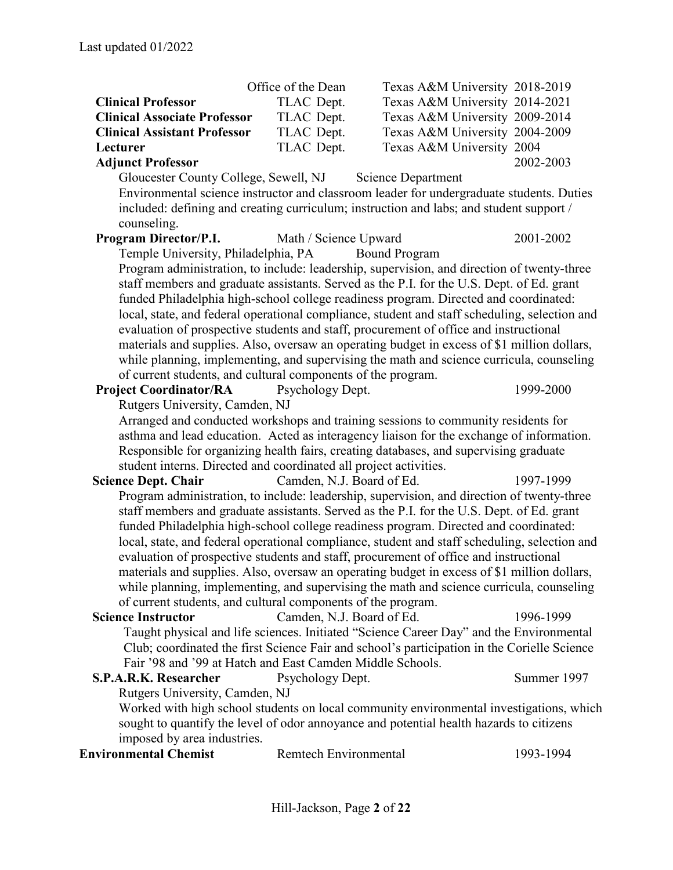|                                                                   | Office of the Dean           | Texas A&M University 2018-2019                                                                |             |
|-------------------------------------------------------------------|------------------------------|-----------------------------------------------------------------------------------------------|-------------|
| <b>Clinical Professor</b>                                         | TLAC Dept.                   | Texas A&M University 2014-2021                                                                |             |
| <b>Clinical Associate Professor</b>                               | TLAC Dept.                   | Texas A&M University 2009-2014                                                                |             |
| <b>Clinical Assistant Professor</b>                               | TLAC Dept.                   | Texas A&M University 2004-2009                                                                |             |
| Lecturer                                                          | TLAC Dept.                   | Texas A&M University 2004                                                                     |             |
| <b>Adjunct Professor</b>                                          |                              |                                                                                               | 2002-2003   |
| Gloucester County College, Sewell, NJ                             |                              | <b>Science Department</b>                                                                     |             |
|                                                                   |                              | Environmental science instructor and classroom leader for undergraduate students. Duties      |             |
|                                                                   |                              | included: defining and creating curriculum; instruction and labs; and student support /       |             |
| counseling.                                                       |                              |                                                                                               |             |
| Program Director/P.I.                                             | Math / Science Upward        |                                                                                               | 2001-2002   |
| Temple University, Philadelphia, PA                               |                              | <b>Bound Program</b>                                                                          |             |
|                                                                   |                              | Program administration, to include: leadership, supervision, and direction of twenty-three    |             |
|                                                                   |                              | staff members and graduate assistants. Served as the P.I. for the U.S. Dept. of Ed. grant     |             |
|                                                                   |                              | funded Philadelphia high-school college readiness program. Directed and coordinated:          |             |
|                                                                   |                              | local, state, and federal operational compliance, student and staff scheduling, selection and |             |
|                                                                   |                              | evaluation of prospective students and staff, procurement of office and instructional         |             |
|                                                                   |                              | materials and supplies. Also, oversaw an operating budget in excess of \$1 million dollars,   |             |
|                                                                   |                              | while planning, implementing, and supervising the math and science curricula, counseling      |             |
| of current students, and cultural components of the program.      |                              |                                                                                               |             |
| <b>Project Coordinator/RA</b>                                     | Psychology Dept.             |                                                                                               | 1999-2000   |
| Rutgers University, Camden, NJ                                    |                              |                                                                                               |             |
|                                                                   |                              | Arranged and conducted workshops and training sessions to community residents for             |             |
|                                                                   |                              | asthma and lead education. Acted as interagency liaison for the exchange of information.      |             |
|                                                                   |                              | Responsible for organizing health fairs, creating databases, and supervising graduate         |             |
| student interns. Directed and coordinated all project activities. |                              |                                                                                               |             |
| <b>Science Dept. Chair</b>                                        | Camden, N.J. Board of Ed.    |                                                                                               | 1997-1999   |
|                                                                   |                              | Program administration, to include: leadership, supervision, and direction of twenty-three    |             |
|                                                                   |                              | staff members and graduate assistants. Served as the P.I. for the U.S. Dept. of Ed. grant     |             |
|                                                                   |                              | funded Philadelphia high-school college readiness program. Directed and coordinated:          |             |
|                                                                   |                              | local, state, and federal operational compliance, student and staff scheduling, selection and |             |
|                                                                   |                              | evaluation of prospective students and staff, procurement of office and instructional         |             |
|                                                                   |                              | materials and supplies. Also, oversaw an operating budget in excess of \$1 million dollars,   |             |
|                                                                   |                              | while planning, implementing, and supervising the math and science curricula, counseling      |             |
| of current students, and cultural components of the program.      |                              |                                                                                               |             |
| <b>Science Instructor</b>                                         | Camden, N.J. Board of Ed.    |                                                                                               | 1996-1999   |
|                                                                   |                              | Taught physical and life sciences. Initiated "Science Career Day" and the Environmental       |             |
|                                                                   |                              | Club; coordinated the first Science Fair and school's participation in the Corielle Science   |             |
| Fair '98 and '99 at Hatch and East Camden Middle Schools.         |                              |                                                                                               |             |
| S.P.A.R.K. Researcher                                             | Psychology Dept.             |                                                                                               | Summer 1997 |
| Rutgers University, Camden, NJ                                    |                              |                                                                                               |             |
|                                                                   |                              | Worked with high school students on local community environmental investigations, which       |             |
|                                                                   |                              | sought to quantify the level of odor annoyance and potential health hazards to citizens       |             |
| imposed by area industries.<br><b>Environmental Chemist</b>       | <b>Remtech Environmental</b> |                                                                                               | 1993-1994   |
|                                                                   |                              |                                                                                               |             |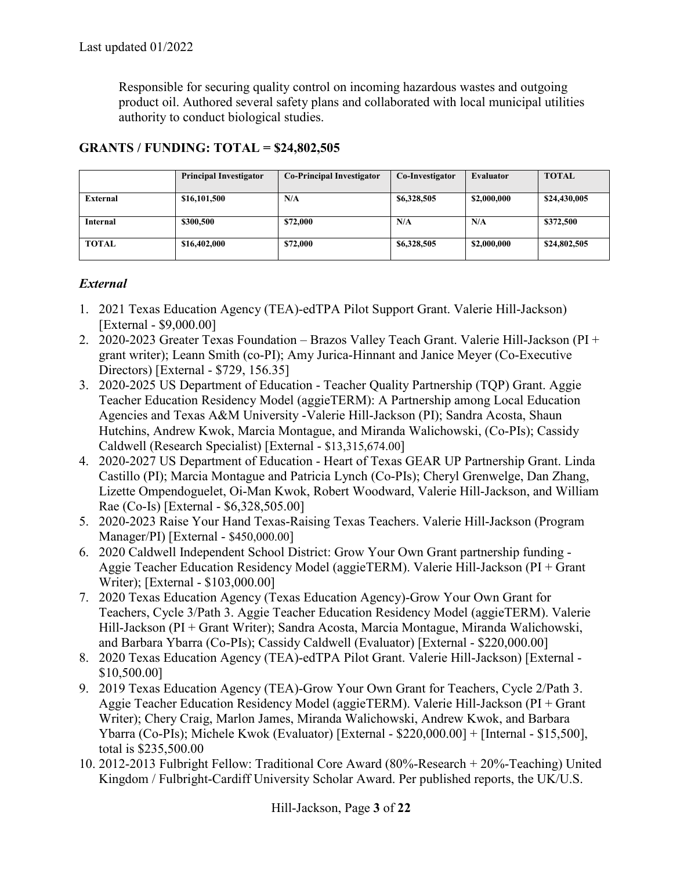Responsible for securing quality control on incoming hazardous wastes and outgoing product oil. Authored several safety plans and collaborated with local municipal utilities authority to conduct biological studies.

|                 | <b>Principal Investigator</b> | <b>Co-Principal Investigator</b> | Co-Investigator | <b>Evaluator</b> | <b>TOTAL</b> |
|-----------------|-------------------------------|----------------------------------|-----------------|------------------|--------------|
| External        | \$16,101,500                  | N/A                              | \$6,328,505     | \$2,000,000      | \$24,430,005 |
| <b>Internal</b> | \$300,500                     | \$72,000                         | N/A             | N/A              | \$372,500    |
| <b>TOTAL</b>    | \$16,402,000                  | \$72,000                         | \$6,328,505     | \$2,000,000      | \$24,802,505 |

# **GRANTS / FUNDING: TOTAL = \$24,802,505**

#### *External*

- 1. 2021 Texas Education Agency (TEA)-edTPA Pilot Support Grant. Valerie Hill-Jackson) [External - \$9,000.00]
- 2. 2020-2023 Greater Texas Foundation Brazos Valley Teach Grant. Valerie Hill-Jackson (PI + grant writer); Leann Smith (co-PI); Amy Jurica-Hinnant and Janice Meyer (Co-Executive Directors) [External - \$729, 156.35]
- 3. 2020-2025 US Department of Education Teacher Quality Partnership (TQP) Grant. Aggie Teacher Education Residency Model (aggieTERM): A Partnership among Local Education Agencies and Texas A&M University -Valerie Hill-Jackson (PI); Sandra Acosta, Shaun Hutchins, Andrew Kwok, Marcia Montague, and Miranda Walichowski, (Co-PIs); Cassidy Caldwell (Research Specialist) [External - \$13,315,674.00]
- 4. 2020-2027 US Department of Education Heart of Texas GEAR UP Partnership Grant. Linda Castillo (PI); Marcia Montague and Patricia Lynch (Co-PIs); Cheryl Grenwelge, Dan Zhang, Lizette Ompendoguelet, Oi-Man Kwok, Robert Woodward, Valerie Hill-Jackson, and William Rae (Co-Is) [External - \$6,328,505.00]
- 5. 2020-2023 Raise Your Hand Texas-Raising Texas Teachers. Valerie Hill-Jackson (Program Manager/PI) [External - \$450,000.00]
- 6. 2020 Caldwell Independent School District: Grow Your Own Grant partnership funding Aggie Teacher Education Residency Model (aggieTERM). Valerie Hill-Jackson (PI + Grant Writer); [External - \$103,000.00]
- 7. 2020 Texas Education Agency (Texas Education Agency)-Grow Your Own Grant for Teachers, Cycle 3/Path 3. Aggie Teacher Education Residency Model (aggieTERM). Valerie Hill-Jackson (PI + Grant Writer); Sandra Acosta, Marcia Montague, Miranda Walichowski, and Barbara Ybarra (Co-PIs); Cassidy Caldwell (Evaluator) [External - \$220,000.00]
- 8. 2020 Texas Education Agency (TEA)-edTPA Pilot Grant. Valerie Hill-Jackson) [External \$10,500.00]
- 9. 2019 Texas Education Agency (TEA)-Grow Your Own Grant for Teachers, Cycle 2/Path 3. Aggie Teacher Education Residency Model (aggieTERM). Valerie Hill-Jackson (PI + Grant Writer); Chery Craig, Marlon James, Miranda Walichowski, Andrew Kwok, and Barbara Ybarra (Co-PIs); Michele Kwok (Evaluator) [External - \$220,000.00] + [Internal - \$15,500], total is \$235,500.00
- 10. 2012-2013 Fulbright Fellow: Traditional Core Award (80%-Research + 20%-Teaching) United Kingdom / Fulbright-Cardiff University Scholar Award. Per published reports, the UK/U.S.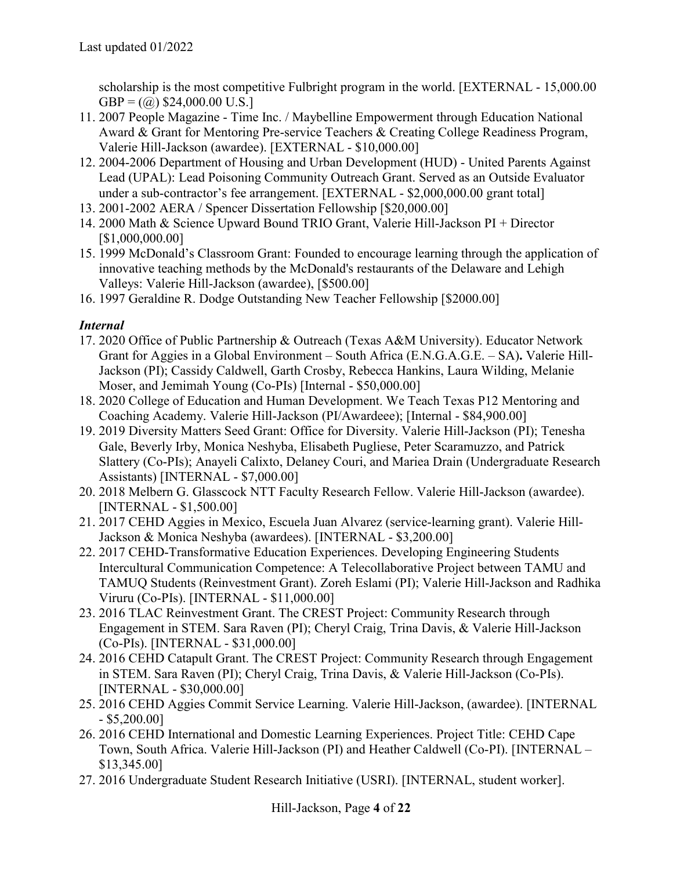scholarship is the most competitive Fulbright program in the world. [EXTERNAL - 15,000.00  $GBP = (\omega)$  \$24,000.00 U.S.]

- 11. 2007 People Magazine Time Inc. / Maybelline Empowerment through Education National Award & Grant for Mentoring Pre-service Teachers & Creating College Readiness Program, Valerie Hill-Jackson (awardee). [EXTERNAL - \$10,000.00]
- 12. 2004-2006 Department of Housing and Urban Development (HUD) United Parents Against Lead (UPAL): Lead Poisoning Community Outreach Grant. Served as an Outside Evaluator under a sub-contractor's fee arrangement. [EXTERNAL - \$2,000,000.00 grant total]
- 13. 2001-2002 AERA / Spencer Dissertation Fellowship [\$20,000.00]
- 14. 2000 Math & Science Upward Bound TRIO Grant, Valerie Hill-Jackson PI + Director [\$1,000,000.00]
- 15. 1999 McDonald's Classroom Grant: Founded to encourage learning through the application of innovative teaching methods by the McDonald's restaurants of the Delaware and Lehigh Valleys: Valerie Hill-Jackson (awardee), [\$500.00]
- 16. 1997 Geraldine R. Dodge Outstanding New Teacher Fellowship [\$2000.00]

# *Internal*

- 17. 2020 Office of Public Partnership & Outreach (Texas A&M University). Educator Network Grant for Aggies in a Global Environment – South Africa (E.N.G.A.G.E. – SA)**.** Valerie Hill-Jackson (PI); Cassidy Caldwell, Garth Crosby, Rebecca Hankins, Laura Wilding, Melanie Moser, and Jemimah Young (Co-PIs) [Internal - \$50,000.00]
- 18. 2020 College of Education and Human Development. We Teach Texas P12 Mentoring and Coaching Academy. Valerie Hill-Jackson (PI/Awardeee); [Internal - \$84,900.00]
- 19. 2019 Diversity Matters Seed Grant: Office for Diversity. Valerie Hill-Jackson (PI); Tenesha Gale, Beverly Irby, Monica Neshyba, Elisabeth Pugliese, Peter Scaramuzzo, and Patrick Slattery (Co-PIs); Anayeli Calixto, Delaney Couri, and Mariea Drain (Undergraduate Research Assistants) [INTERNAL - \$7,000.00]
- 20. 2018 Melbern G. Glasscock NTT Faculty Research Fellow. Valerie Hill-Jackson (awardee). [INTERNAL - \$1,500.00]
- 21. 2017 CEHD Aggies in Mexico, Escuela Juan Alvarez (service-learning grant). Valerie Hill-Jackson & Monica Neshyba (awardees). [INTERNAL - \$3,200.00]
- 22. 2017 CEHD-Transformative Education Experiences. Developing Engineering Students Intercultural Communication Competence: A Telecollaborative Project between TAMU and TAMUQ Students (Reinvestment Grant). Zoreh Eslami (PI); Valerie Hill-Jackson and Radhika Viruru (Co-PIs). [INTERNAL - \$11,000.00]
- 23. 2016 TLAC Reinvestment Grant. The CREST Project: Community Research through Engagement in STEM. Sara Raven (PI); Cheryl Craig, Trina Davis, & Valerie Hill-Jackson (Co-PIs). [INTERNAL - \$31,000.00]
- 24. 2016 CEHD Catapult Grant. The CREST Project: Community Research through Engagement in STEM. Sara Raven (PI); Cheryl Craig, Trina Davis, & Valerie Hill-Jackson (Co-PIs). [INTERNAL - \$30,000.00]
- 25. 2016 CEHD Aggies Commit Service Learning. Valerie Hill-Jackson, (awardee). [INTERNAL - \$5,200.00]
- 26. 2016 CEHD International and Domestic Learning Experiences. Project Title: CEHD Cape Town, South Africa. Valerie Hill-Jackson (PI) and Heather Caldwell (Co-PI). [INTERNAL – \$13,345.00]
- 27. 2016 Undergraduate Student Research Initiative (USRI). [INTERNAL, student worker].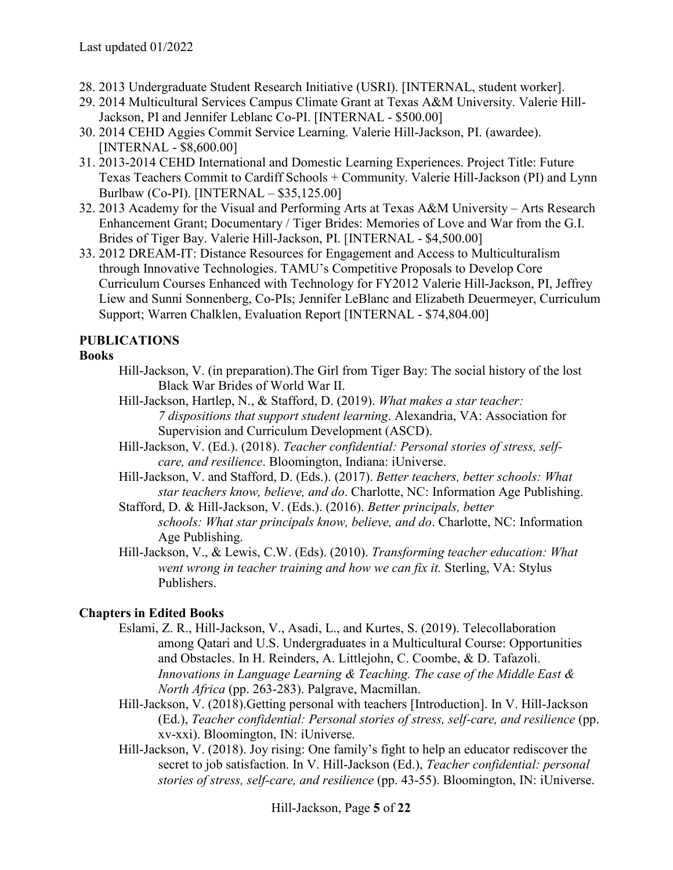- 28. 2013 Undergraduate Student Research Initiative (USRI). [INTERNAL, student worker].
- 29. 2014 Multicultural Services Campus Climate Grant at Texas A&M University. Valerie Hill-Jackson, PI and Jennifer Leblanc Co-PI. [INTERNAL - \$500.00]
- 30. 2014 CEHD Aggies Commit Service Learning. Valerie Hill-Jackson, PI. (awardee). [INTERNAL - \$8,600.00]
- 31. 2013-2014 CEHD International and Domestic Learning Experiences. Project Title: Future Texas Teachers Commit to Cardiff Schools + Community. Valerie Hill-Jackson (PI) and Lynn Burlbaw (Co-PI). [INTERNAL – \$35,125.00]
- 32. 2013 Academy for the Visual and Performing Arts at Texas A&M University Arts Research Enhancement Grant; Documentary / Tiger Brides: Memories of Love and War from the G.I. Brides of Tiger Bay. Valerie Hill-Jackson, PI. [INTERNAL - \$4,500.00]
- 33. 2012 DREAM-IT: Distance Resources for Engagement and Access to Multiculturalism through Innovative Technologies. TAMU's Competitive Proposals to Develop Core Curriculum Courses Enhanced with Technology for FY2012 Valerie Hill-Jackson, PI, Jeffrey Liew and Sunni Sonnenberg, Co-PIs; Jennifer LeBlanc and Elizabeth Deuermeyer, Curriculum Support; Warren Chalklen, Evaluation Report [INTERNAL - \$74,804.00]

# **PUBLICATIONS**

#### **Books**

- Hill-Jackson, V. (in preparation).The Girl from Tiger Bay: The social history of the lost Black War Brides of World War II.
- Hill-Jackson, Hartlep, N., & Stafford, D. (2019). *What makes a star teacher: 7 dispositions that support student learning*. Alexandria, VA: Association for Supervision and Curriculum Development (ASCD).
- Hill-Jackson, V. (Ed.). (2018). *Teacher confidential: Personal stories of stress, selfcare, and resilience*. Bloomington, Indiana: iUniverse.
- Hill-Jackson, V. and Stafford, D. (Eds.). (2017). *Better teachers, better schools: What star teachers know, believe, and do*. Charlotte, NC: Information Age Publishing.
- Stafford, D. & Hill-Jackson, V. (Eds.). (2016). *Better principals, better schools: What star principals know, believe, and do*. Charlotte, NC: Information Age Publishing.
- Hill-Jackson, V., & Lewis, C.W. (Eds). (2010). *Transforming teacher education: What went wrong in teacher training and how we can fix it.* Sterling, VA: Stylus Publishers.

# **Chapters in Edited Books**

- Eslami, Z. R., Hill-Jackson, V., Asadi, L., and Kurtes, S. (2019). Telecollaboration among Qatari and U.S. Undergraduates in a Multicultural Course: Opportunities and Obstacles. In H. Reinders, A. Littlejohn, C. Coombe, & D. Tafazoli. *Innovations in Language Learning & Teaching. The case of the Middle East & North Africa* (pp. 263-283). Palgrave, Macmillan.
- Hill-Jackson, V. (2018).Getting personal with teachers [Introduction]. In V. Hill-Jackson (Ed.), *Teacher confidential: Personal stories of stress, self-care, and resilience* (pp. xv-xxi). Bloomington, IN: iUniverse.
- Hill-Jackson, V. (2018). Joy rising: One family's fight to help an educator rediscover the secret to job satisfaction. In V. Hill-Jackson (Ed.), *Teacher confidential: personal stories of stress, self-care, and resilience* (pp. 43-55). Bloomington, IN: iUniverse.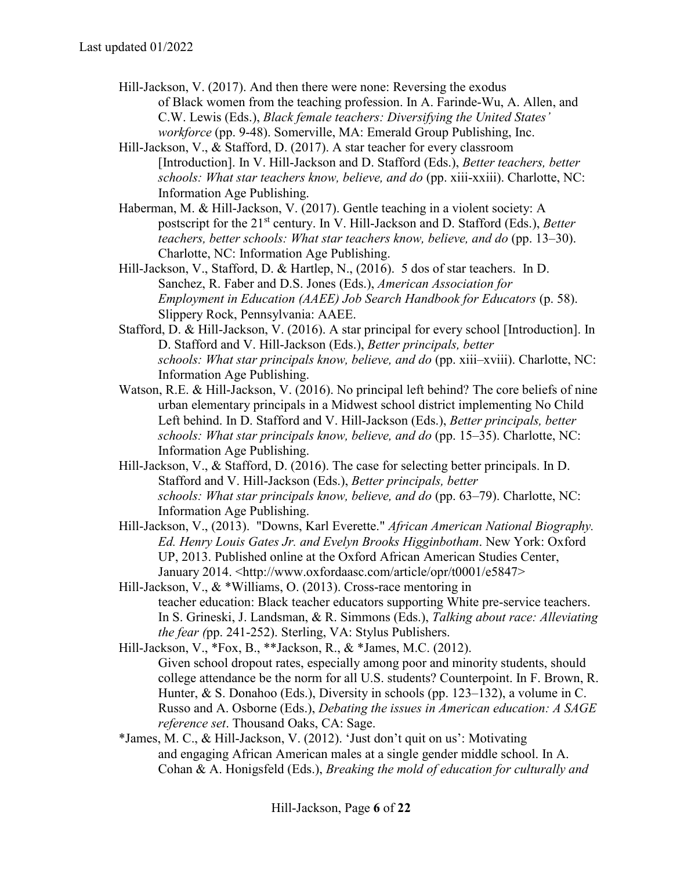- Hill-Jackson, V. (2017). And then there were none: Reversing the exodus of Black women from the teaching profession. In A. Farinde-Wu, A. Allen, and C.W. Lewis (Eds.), *Black female teachers: Diversifying the United States' workforce* (pp. 9-48). Somerville, MA: Emerald Group Publishing, Inc.
- Hill-Jackson, V., & Stafford, D. (2017). A star teacher for every classroom [Introduction]. In V. Hill-Jackson and D. Stafford (Eds.), *Better teachers, better schools: What star teachers know, believe, and do* (pp. xiii-xxiii). Charlotte, NC: Information Age Publishing.
- Haberman, M. & Hill-Jackson, V. (2017). Gentle teaching in a violent society: A postscript for the 21st century. In V. Hill-Jackson and D. Stafford (Eds.), *Better teachers, better schools: What star teachers know, believe, and do* (pp. 13–30). Charlotte, NC: Information Age Publishing.
- Hill-Jackson, V., Stafford, D. & Hartlep, N., (2016). 5 dos of star teachers. In D. Sanchez, R. Faber and D.S. Jones (Eds.), *American Association for Employment in Education (AAEE) Job Search Handbook for Educators* (p. 58). Slippery Rock, Pennsylvania: AAEE.
- Stafford, D. & Hill-Jackson, V. (2016). A star principal for every school [Introduction]. In D. Stafford and V. Hill-Jackson (Eds.), *Better principals, better schools: What star principals know, believe, and do* (pp. xiii–xviii). Charlotte, NC: Information Age Publishing.
- Watson, R.E. & Hill-Jackson, V. (2016). No principal left behind? The core beliefs of nine urban elementary principals in a Midwest school district implementing No Child Left behind. In D. Stafford and V. Hill-Jackson (Eds.), *Better principals, better schools: What star principals know, believe, and do* (pp. 15–35). Charlotte, NC: Information Age Publishing.
- Hill-Jackson, V., & Stafford, D. (2016). The case for selecting better principals. In D. Stafford and V. Hill-Jackson (Eds.), *Better principals, better schools: What star principals know, believe, and do* (pp. 63–79). Charlotte, NC: Information Age Publishing.
- Hill-Jackson, V., (2013). "Downs, Karl Everette." *African American National Biography. Ed. Henry Louis Gates Jr. and Evelyn Brooks Higginbotham*. New York: Oxford UP, 2013. Published online at the Oxford African American Studies Center, January 2014. <http://www.oxfordaasc.com/article/opr/t0001/e5847>
- Hill-Jackson, V., & \*Williams, O. (2013). Cross-race mentoring in teacher education: Black teacher educators supporting White pre-service teachers. In S. Grineski, J. Landsman, & R. Simmons (Eds.), *Talking about race: Alleviating the fear (*pp. 241-252). Sterling, VA: Stylus Publishers.
- Hill-Jackson, V., \*Fox, B., \*\*Jackson, R., & \*James, M.C. (2012). Given school dropout rates, especially among poor and minority students, should college attendance be the norm for all U.S. students? Counterpoint. In F. Brown, R. Hunter, & S. Donahoo (Eds.), Diversity in schools (pp. 123–132), a volume in C. Russo and A. Osborne (Eds.), *Debating the issues in American education: A SAGE reference set*. Thousand Oaks, CA: Sage.
- \*James, M. C., & Hill-Jackson, V. (2012). 'Just don't quit on us': Motivating and engaging African American males at a single gender middle school. In A. Cohan & A. Honigsfeld (Eds.), *Breaking the mold of education for culturally and*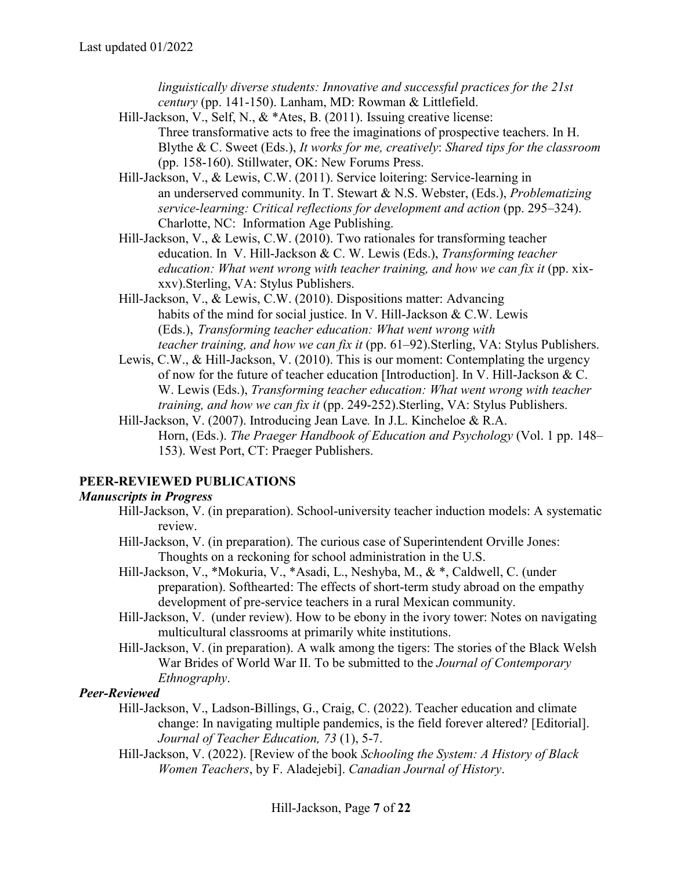*linguistically diverse students: Innovative and successful practices for the 21st century* (pp. 141-150). Lanham, MD: Rowman & Littlefield.

- Hill-Jackson, V., Self, N., & \*Ates, B. (2011). Issuing creative license: Three transformative acts to free the imaginations of prospective teachers. In H. Blythe & C. Sweet (Eds.), *It works for me, creatively*: *Shared tips for the classroom* (pp. 158-160). Stillwater, OK: New Forums Press.
- Hill-Jackson, V., & Lewis, C.W. (2011). Service loitering: Service-learning in an underserved community. In T. Stewart & N.S. Webster, (Eds.), *Problematizing service-learning: Critical reflections for development and action* (pp. 295–324). Charlotte, NC: Information Age Publishing.
- Hill-Jackson, V., & Lewis, C.W. (2010). Two rationales for transforming teacher education. In V. Hill-Jackson & C. W. Lewis (Eds.), *Transforming teacher education: What went wrong with teacher training, and how we can fix it* (pp. xixxxv).Sterling, VA: Stylus Publishers.
- Hill-Jackson, V., & Lewis, C.W. (2010). Dispositions matter: Advancing habits of the mind for social justice. In V. Hill-Jackson & C.W. Lewis (Eds.), *Transforming teacher education: What went wrong with teacher training, and how we can fix it* (pp. 61–92).Sterling, VA: Stylus Publishers.
- Lewis, C.W., & Hill-Jackson, V. (2010). This is our moment: Contemplating the urgency of now for the future of teacher education [Introduction]. In V. Hill-Jackson & C. W. Lewis (Eds.), *Transforming teacher education: What went wrong with teacher training, and how we can fix it* (pp. 249-252).Sterling, VA: Stylus Publishers.
- Hill-Jackson, V. (2007). Introducing Jean Lave*.* In J.L. Kincheloe & R.A. Horn, (Eds.). *The Praeger Handbook of Education and Psychology* (Vol. 1 pp. 148– 153). West Port, CT: Praeger Publishers.

# **PEER-REVIEWED PUBLICATIONS**

#### *Manuscripts in Progress*

- Hill-Jackson, V. (in preparation). School-university teacher induction models: A systematic review.
- Hill-Jackson, V. (in preparation). The curious case of Superintendent Orville Jones: Thoughts on a reckoning for school administration in the U.S.
- Hill-Jackson, V., \*Mokuria, V., \*Asadi, L., Neshyba, M., & \*, Caldwell, C. (under preparation). Softhearted: The effects of short-term study abroad on the empathy development of pre-service teachers in a rural Mexican community.
- Hill-Jackson, V. (under review). How to be ebony in the ivory tower: Notes on navigating multicultural classrooms at primarily white institutions.
- Hill-Jackson, V. (in preparation). A walk among the tigers: The stories of the Black Welsh War Brides of World War II. To be submitted to the *Journal of Contemporary Ethnography*.

# *Peer-Reviewed*

- Hill-Jackson, V., Ladson-Billings, G., Craig, C. (2022). Teacher education and climate change: In navigating multiple pandemics, is the field forever altered? [Editorial]. *Journal of Teacher Education, 73* (1), 5-7.
- Hill-Jackson, V. (2022). [Review of the book *Schooling the System: A History of Black Women Teachers*, by F. Aladejebi]. *Canadian Journal of History*.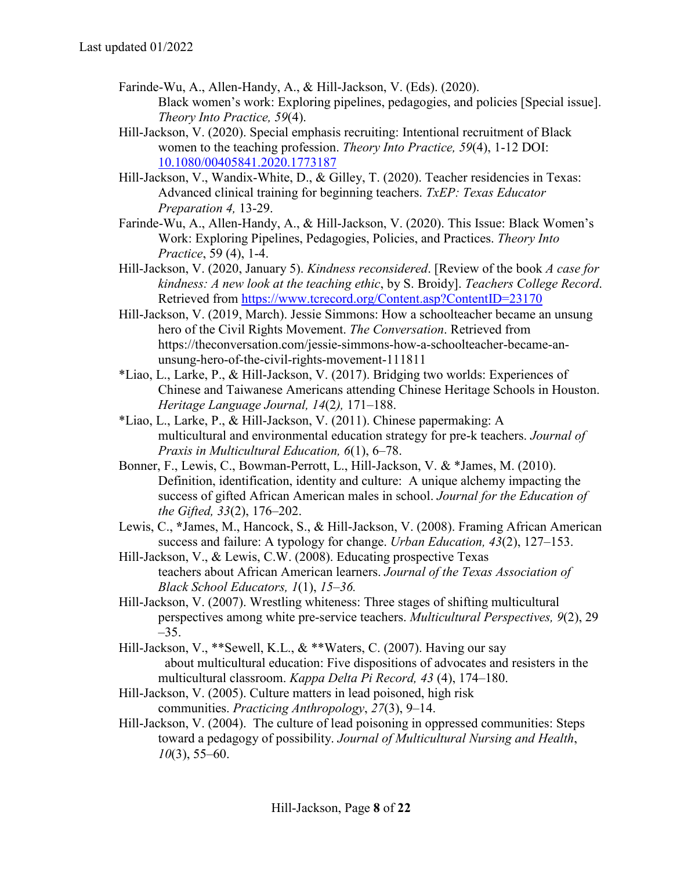- Farinde-Wu, A., Allen-Handy, A., & Hill-Jackson, V. (Eds). (2020). Black women's work: Exploring pipelines, pedagogies, and policies [Special issue]. *Theory Into Practice, 59*(4).
- Hill-Jackson, V. (2020). Special emphasis recruiting: Intentional recruitment of Black women to the teaching profession. *Theory Into Practice, 59*(4), 1-12 DOI: [10.1080/00405841.2020.1773187](https://doi.org/10.1080/00405841.2020.1773187)
- Hill-Jackson, V., Wandix-White, D., & Gilley, T. (2020). Teacher residencies in Texas: Advanced clinical training for beginning teachers. *TxEP: Texas Educator Preparation 4,* 13-29.
- Farinde-Wu, A., Allen-Handy, A., & Hill-Jackson, V. (2020). This Issue: Black Women's Work: Exploring Pipelines, Pedagogies, Policies, and Practices. *Theory Into Practice*, 59 (4), 1-4.
- Hill-Jackson, V. (2020, January 5). *Kindness reconsidered*. [Review of the book *A case for kindness: A new look at the teaching ethic*, by S. Broidy]. *Teachers College Record*. Retrieved from<https://www.tcrecord.org/Content.asp?ContentID=23170>
- Hill-Jackson, V. (2019, March). Jessie Simmons: How a schoolteacher became an unsung hero of the Civil Rights Movement. *The Conversation*. Retrieved from https://theconversation.com/jessie-simmons-how-a-schoolteacher-became-anunsung-hero-of-the-civil-rights-movement-111811
- \*Liao, L., Larke, P., & Hill-Jackson, V. (2017). Bridging two worlds: Experiences of Chinese and Taiwanese Americans attending Chinese Heritage Schools in Houston. *Heritage Language Journal, 14*(2*),* 171–188.
- \*Liao, L., Larke, P., & Hill-Jackson, V. (2011). Chinese papermaking: A multicultural and environmental education strategy for pre-k teachers. *Journal of Praxis in Multicultural Education, 6*(1), 6–78.
- Bonner, F., Lewis, C., Bowman-Perrott, L., Hill-Jackson, V. & \*James, M. (2010). Definition, identification, identity and culture: A unique alchemy impacting the success of gifted African American males in school. *Journal for the Education of the Gifted, 33*(2), 176–202.
- Lewis, C., **\***James, M., Hancock, S., & Hill-Jackson, V. (2008). Framing African American success and failure: A typology for change. *Urban Education, 43*(2), 127–153.
- Hill-Jackson, V., & Lewis, C.W. (2008). Educating prospective Texas teachers about African American learners. *Journal of the Texas Association of Black School Educators, 1*(1), *15*–*36.*
- Hill-Jackson, V. (2007). Wrestling whiteness: Three stages of shifting multicultural perspectives among white pre-service teachers. *Multicultural Perspectives, 9*(2), 29 –35.
- Hill-Jackson, V., \*\*Sewell, K.L., & \*\*Waters, C. (2007). Having our say about multicultural education: Five dispositions of advocates and resisters in the multicultural classroom. *Kappa Delta Pi Record, 43* (4), 174–180.
- Hill-Jackson, V. (2005). Culture matters in lead poisoned, high risk communities. *Practicing Anthropology*, *27*(3), 9–14.
- Hill-Jackson, V. (2004). The culture of lead poisoning in oppressed communities: Steps toward a pedagogy of possibility. *Journal of Multicultural Nursing and Health*, *10*(3), 55–60.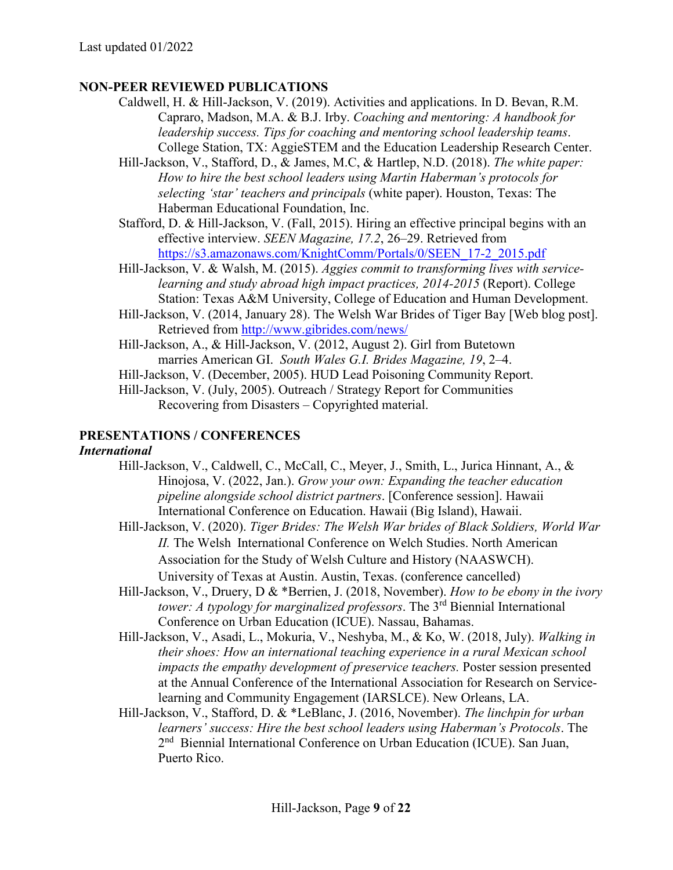#### **NON-PEER REVIEWED PUBLICATIONS**

- Caldwell, H. & Hill-Jackson, V. (2019). Activities and applications. In D. Bevan, R.M. Capraro, Madson, M.A. & B.J. Irby. *Coaching and mentoring: A handbook for leadership success. Tips for coaching and mentoring school leadership teams*. College Station, TX: AggieSTEM and the Education Leadership Research Center.
- Hill-Jackson, V., Stafford, D., & James, M.C, & Hartlep, N.D. (2018). *The white paper: How to hire the best school leaders using Martin Haberman's protocols for selecting 'star' teachers and principals* (white paper). Houston, Texas: The Haberman Educational Foundation, Inc.
- Stafford, D. & Hill-Jackson, V. (Fall, 2015). Hiring an effective principal begins with an effective interview. *SEEN Magazine, 17.2*, 26–29. Retrieved from [https://s3.amazonaws.com/KnightComm/Portals/0/SEEN\\_17-2\\_2015.pdf](https://s3.amazonaws.com/KnightComm/Portals/0/SEEN_17-2_2015.pdf)
- Hill-Jackson, V. & Walsh, M. (2015). *Aggies commit to transforming lives with servicelearning and study abroad high impact practices, 2014-2015* (Report). College Station: Texas A&M University, College of Education and Human Development.
- Hill-Jackson, V. (2014, January 28). The Welsh War Brides of Tiger Bay [Web blog post]. Retrieved from<http://www.gibrides.com/news/>
- Hill-Jackson, A., & Hill-Jackson, V. (2012, August 2). Girl from Butetown marries American GI. *South Wales G.I. Brides Magazine, 19*, 2–4.
- Hill-Jackson, V. (December, 2005). HUD Lead Poisoning Community Report.
- Hill-Jackson, V. (July, 2005). Outreach / Strategy Report for Communities Recovering from Disasters – Copyrighted material.

#### **PRESENTATIONS / CONFERENCES**

#### *International*

- Hill-Jackson, V., Caldwell, C., McCall, C., Meyer, J., Smith, L., Jurica Hinnant, A., & Hinojosa, V. (2022, Jan.). *Grow your own: Expanding the teacher education pipeline alongside school district partners*. [Conference session]. Hawaii International Conference on Education. Hawaii (Big Island), Hawaii.
- Hill-Jackson, V. (2020). *Tiger Brides: The Welsh War brides of Black Soldiers, World War II.* The Welsh International Conference on Welch Studies. North American Association for the Study of Welsh Culture and History (NAASWCH). University of Texas at Austin. Austin, Texas. (conference cancelled)
- Hill-Jackson, V., Druery, D & \*Berrien, J. (2018, November). *How to be ebony in the ivory tower: A typology for marginalized professors*. The 3rd Biennial International Conference on Urban Education (ICUE). Nassau, Bahamas.
- Hill-Jackson, V., Asadi, L., Mokuria, V., Neshyba, M., & Ko, W. (2018, July). *Walking in their shoes: How an international teaching experience in a rural Mexican school impacts the empathy development of preservice teachers.* Poster session presented at the Annual Conference of the International Association for Research on Servicelearning and Community Engagement (IARSLCE). New Orleans, LA.
- Hill-Jackson, V., Stafford, D. & \*LeBlanc, J. (2016, November). *The linchpin for urban learners' success: Hire the best school leaders using Haberman's Protocols*. The 2nd Biennial International Conference on Urban Education (ICUE). San Juan, Puerto Rico.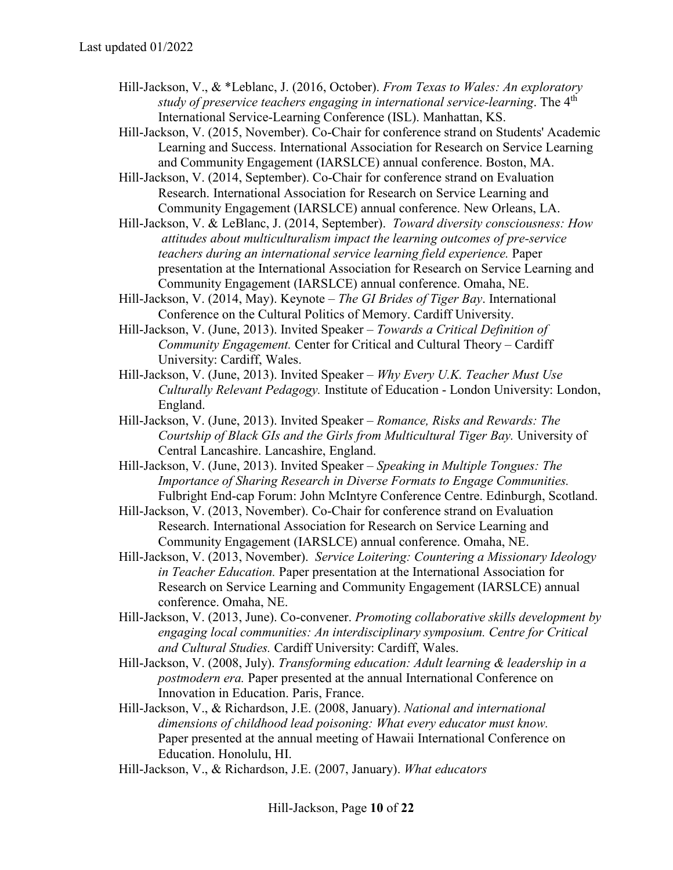- Hill-Jackson, V., & \*Leblanc, J. (2016, October). *From Texas to Wales: An exploratory study of preservice teachers engaging in international service-learning*. The 4th International Service-Learning Conference (ISL). Manhattan, KS.
- Hill-Jackson, V. (2015, November). Co-Chair for conference strand on Students' Academic Learning and Success. International Association for Research on Service Learning and Community Engagement (IARSLCE) annual conference. Boston, MA.
- Hill-Jackson, V. (2014, September). Co-Chair for conference strand on Evaluation Research. International Association for Research on Service Learning and Community Engagement (IARSLCE) annual conference. New Orleans, LA.
- Hill-Jackson, V. & LeBlanc, J. (2014, September). *Toward diversity consciousness: How attitudes about multiculturalism impact the learning outcomes of pre-service teachers during an international service learning field experience.* Paper presentation at the International Association for Research on Service Learning and Community Engagement (IARSLCE) annual conference. Omaha, NE.
- Hill-Jackson, V. (2014, May). Keynote *The GI Brides of Tiger Bay*. International Conference on the Cultural Politics of Memory. Cardiff University.
- Hill-Jackson, V. (June, 2013). Invited Speaker *Towards a Critical Definition of Community Engagement.* Center for Critical and Cultural Theory – Cardiff University: Cardiff, Wales.
- Hill-Jackson, V. (June, 2013). Invited Speaker *Why Every U.K. Teacher Must Use Culturally Relevant Pedagogy.* Institute of Education - London University: London, England.
- Hill-Jackson, V. (June, 2013). Invited Speaker *Romance, Risks and Rewards: The Courtship of Black GIs and the Girls from Multicultural Tiger Bay.* University of Central Lancashire. Lancashire, England.
- Hill-Jackson, V. (June, 2013). Invited Speaker *Speaking in Multiple Tongues: The Importance of Sharing Research in Diverse Formats to Engage Communities.*  Fulbright End-cap Forum: John McIntyre Conference Centre. Edinburgh, Scotland.
- Hill-Jackson, V. (2013, November). Co-Chair for conference strand on Evaluation Research. International Association for Research on Service Learning and Community Engagement (IARSLCE) annual conference. Omaha, NE.
- Hill-Jackson, V. (2013, November). *Service Loitering: Countering a Missionary Ideology in Teacher Education.* Paper presentation at the International Association for Research on Service Learning and Community Engagement (IARSLCE) annual conference. Omaha, NE.
- Hill-Jackson, V. (2013, June). Co-convener. *Promoting collaborative skills development by engaging local communities: An interdisciplinary symposium. Centre for Critical and Cultural Studies.* Cardiff University: Cardiff, Wales.
- Hill-Jackson, V. (2008, July). *Transforming education: Adult learning & leadership in a postmodern era.* Paper presented at the annual International Conference on Innovation in Education. Paris, France.
- Hill-Jackson, V., & Richardson, J.E. (2008, January). *National and international dimensions of childhood lead poisoning: What every educator must know.* Paper presented at the annual meeting of Hawaii International Conference on Education. Honolulu, HI.
- Hill-Jackson, V., & Richardson, J.E. (2007, January). *What educators*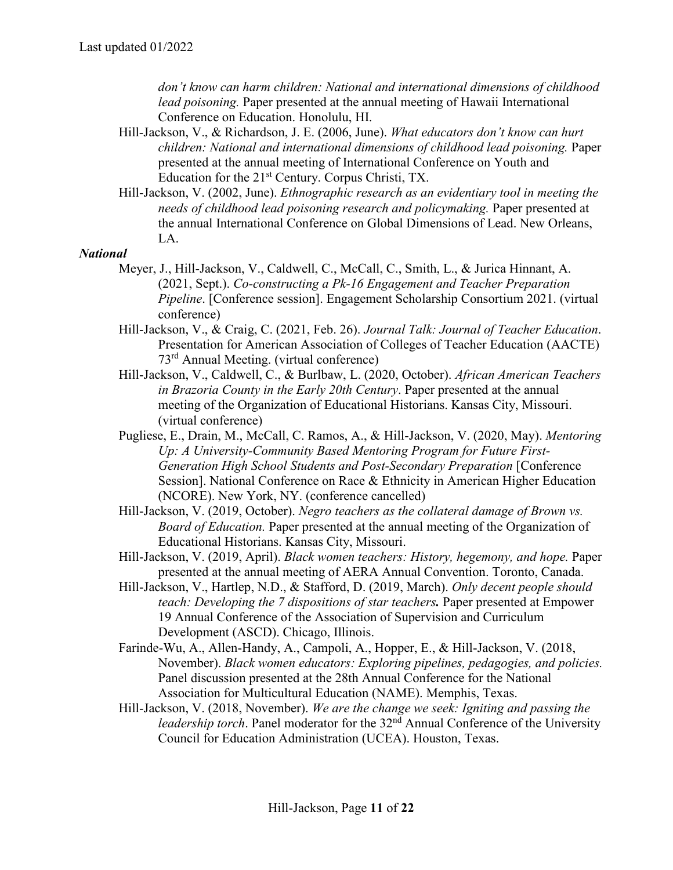*don't know can harm children: National and international dimensions of childhood lead poisoning.* Paper presented at the annual meeting of Hawaii International Conference on Education. Honolulu, HI.

- Hill-Jackson, V., & Richardson, J. E. (2006, June). *What educators don't know can hurt children: National and international dimensions of childhood lead poisoning.* Paper presented at the annual meeting of International Conference on Youth and Education for the 21<sup>st</sup> Century. Corpus Christi, TX.
- Hill-Jackson, V. (2002, June). *Ethnographic research as an evidentiary tool in meeting the needs of childhood lead poisoning research and policymaking.* Paper presented at the annual International Conference on Global Dimensions of Lead. New Orleans, LA.

#### *National*

- Meyer, J., Hill-Jackson, V., Caldwell, C., McCall, C., Smith, L., & Jurica Hinnant, A. (2021, Sept.). *Co-constructing a Pk-16 Engagement and Teacher Preparation Pipeline*. [Conference session]. Engagement Scholarship Consortium 2021. (virtual conference)
- Hill-Jackson, V., & Craig, C. (2021, Feb. 26). *Journal Talk: Journal of Teacher Education*. Presentation for American Association of Colleges of Teacher Education (AACTE) 73rd Annual Meeting. (virtual conference)
- Hill-Jackson, V., Caldwell, C., & Burlbaw, L. (2020, October). *African American Teachers in Brazoria County in the Early 20th Century*. Paper presented at the annual meeting of the Organization of Educational Historians. Kansas City, Missouri. (virtual conference)
- Pugliese, E., Drain, M., McCall, C. Ramos, A., & Hill-Jackson, V. (2020, May). *Mentoring Up: A University-Community Based Mentoring Program for Future First-Generation High School Students and Post-Secondary Preparation* [Conference Session]. National Conference on Race & Ethnicity in American Higher Education (NCORE). New York, NY. (conference cancelled)
- Hill-Jackson, V. (2019, October). *Negro teachers as the collateral damage of Brown vs. Board of Education.* Paper presented at the annual meeting of the Organization of Educational Historians. Kansas City, Missouri.
- Hill-Jackson, V. (2019, April). *Black women teachers: History, hegemony, and hope.* Paper presented at the annual meeting of AERA Annual Convention. Toronto, Canada.
- Hill-Jackson, V., Hartlep, N.D., & Stafford, D. (2019, March). *Only decent people should teach: Developing the 7 dispositions of star teachers.* Paper presented at Empower 19 Annual Conference of the Association of Supervision and Curriculum Development (ASCD). Chicago, Illinois.
- Farinde-Wu, A., Allen-Handy, A., Campoli, A., Hopper, E., & Hill-Jackson, V. (2018, November). *Black women educators: Exploring pipelines, pedagogies, and policies.*  Panel discussion presented at the 28th Annual Conference for the National Association for Multicultural Education (NAME). Memphis, Texas.
- Hill-Jackson, V. (2018, November). *We are the change we seek: Igniting and passing the leadership torch*. Panel moderator for the 32<sup>nd</sup> Annual Conference of the University Council for Education Administration (UCEA). Houston, Texas.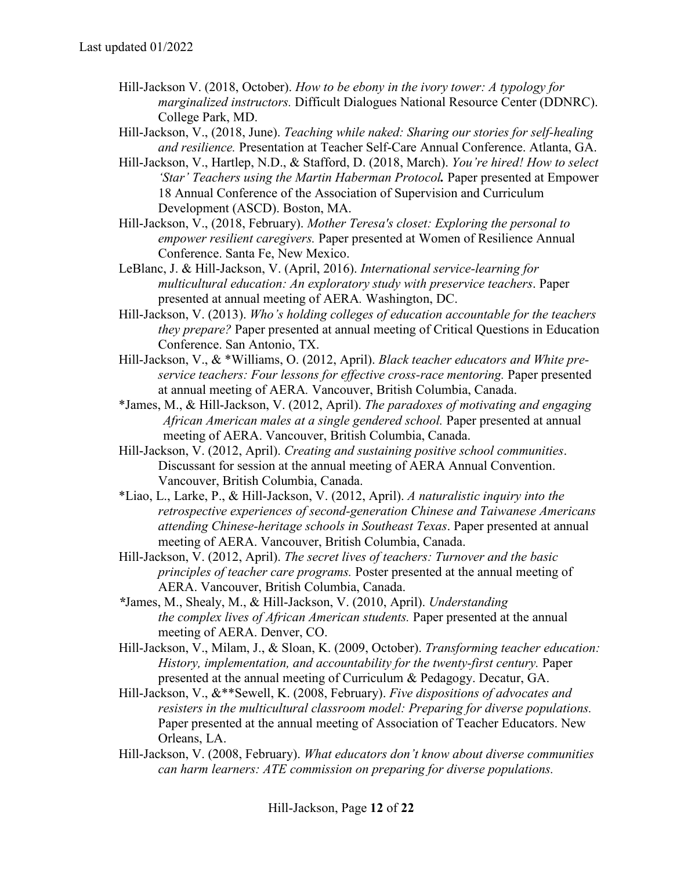- Hill-Jackson V. (2018, October). *How to be ebony in the ivory tower: A typology for marginalized instructors.* Difficult Dialogues National Resource Center (DDNRC). College Park, MD.
- Hill-Jackson, V., (2018, June). *Teaching while naked: Sharing our stories for self-healing and resilience.* Presentation at Teacher Self-Care Annual Conference. Atlanta, GA.
- Hill-Jackson, V., Hartlep, N.D., & Stafford, D. (2018, March). *You're hired! How to select 'Star' Teachers using the Martin Haberman Protocol.* Paper presented at Empower 18 Annual Conference of the Association of Supervision and Curriculum Development (ASCD). Boston, MA.
- Hill-Jackson, V., (2018, February). *Mother Teresa's closet: Exploring the personal to empower resilient caregivers.* Paper presented at Women of Resilience Annual Conference. Santa Fe, New Mexico.
- LeBlanc, J. & Hill-Jackson, V. (April, 2016). *International service-learning for multicultural education: An exploratory study with preservice teachers*. Paper presented at annual meeting of AERA*.* Washington, DC.
- Hill-Jackson, V. (2013). *Who's holding colleges of education accountable for the teachers they prepare?* Paper presented at annual meeting of Critical Questions in Education Conference. San Antonio, TX.
- Hill-Jackson, V., & \*Williams, O. (2012, April). *Black teacher educators and White preservice teachers: Four lessons for effective cross-race mentoring. Paper presented* at annual meeting of AERA*.* Vancouver, British Columbia, Canada.
- \*James, M., & Hill-Jackson, V. (2012, April). *The paradoxes of motivating and engaging African American males at a single gendered school.* Paper presented at annual meeting of AERA. Vancouver, British Columbia, Canada.
- Hill-Jackson, V. (2012, April). *Creating and sustaining positive school communities*. Discussant for session at the annual meeting of AERA Annual Convention. Vancouver, British Columbia, Canada.
- \*Liao, L., Larke, P., & Hill-Jackson, V. (2012, April). *A naturalistic inquiry into the retrospective experiences of second-generation Chinese and Taiwanese Americans attending Chinese-heritage schools in Southeast Texas*. Paper presented at annual meeting of AERA. Vancouver, British Columbia, Canada.
- Hill-Jackson, V. (2012, April). *The secret lives of teachers: Turnover and the basic principles of teacher care programs.* Poster presented at the annual meeting of AERA. Vancouver, British Columbia, Canada.
- *\**James, M., Shealy, M., & Hill-Jackson, V. (2010, April). *Understanding the complex lives of African American students.* Paper presented at the annual meeting of AERA. Denver, CO.
- Hill-Jackson, V., Milam, J., & Sloan, K. (2009, October). *Transforming teacher education: History, implementation, and accountability for the twenty-first century.* Paper presented at the annual meeting of Curriculum & Pedagogy. Decatur, GA.
- Hill-Jackson, V., &\*\*Sewell, K. (2008, February). *Five dispositions of advocates and resisters in the multicultural classroom model: Preparing for diverse populations.*  Paper presented at the annual meeting of Association of Teacher Educators. New Orleans, LA.
- Hill-Jackson, V. (2008, February). *What educators don't know about diverse communities can harm learners: ATE commission on preparing for diverse populations.*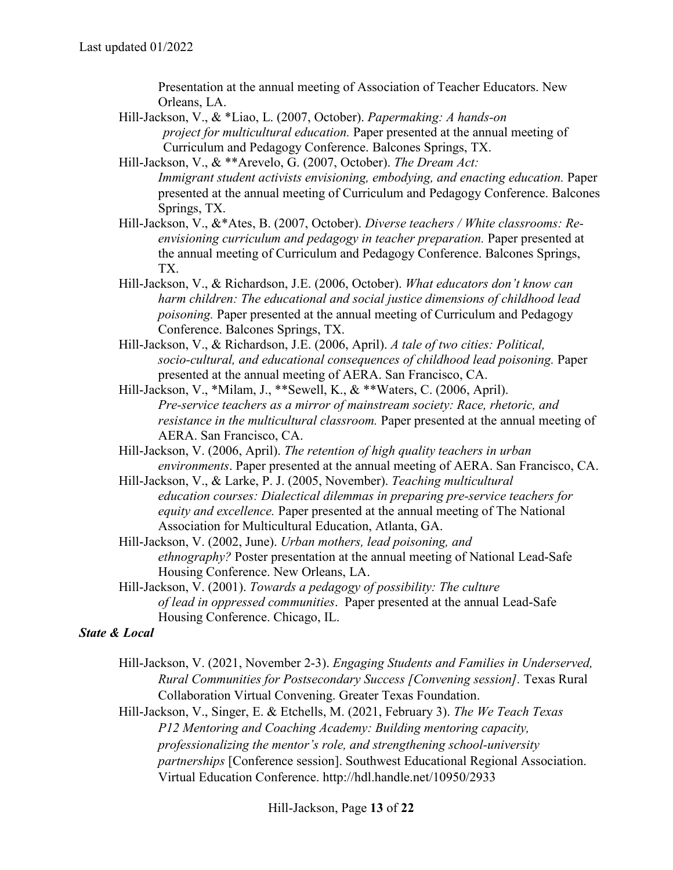Presentation at the annual meeting of Association of Teacher Educators. New Orleans, LA.

- Hill-Jackson, V., & \*Liao, L. (2007, October). *Papermaking: A hands-on project for multicultural education.* Paper presented at the annual meeting of Curriculum and Pedagogy Conference. Balcones Springs, TX.
- Hill-Jackson, V., & \*\*Arevelo, G. (2007, October). *The Dream Act: Immigrant student activists envisioning, embodying, and enacting education.* Paper presented at the annual meeting of Curriculum and Pedagogy Conference. Balcones Springs, TX.
- Hill-Jackson, V., &\*Ates, B. (2007, October). *Diverse teachers / White classrooms: Reenvisioning curriculum and pedagogy in teacher preparation.* Paper presented at the annual meeting of Curriculum and Pedagogy Conference. Balcones Springs, TX.
- Hill-Jackson, V., & Richardson, J.E. (2006, October). *What educators don't know can harm children: The educational and social justice dimensions of childhood lead poisoning.* Paper presented at the annual meeting of Curriculum and Pedagogy Conference. Balcones Springs, TX.
- Hill-Jackson, V., & Richardson, J.E. (2006, April). *A tale of two cities: Political, socio-cultural, and educational consequences of childhood lead poisoning.* Paper presented at the annual meeting of AERA. San Francisco, CA.
- Hill-Jackson, V., \*Milam, J., \*\*Sewell, K., & \*\*Waters, C. (2006, April). *Pre-service teachers as a mirror of mainstream society: Race, rhetoric, and resistance in the multicultural classroom.* Paper presented at the annual meeting of AERA. San Francisco, CA.
- Hill-Jackson, V. (2006, April). *The retention of high quality teachers in urban environments*. Paper presented at the annual meeting of AERA. San Francisco, CA.
- Hill-Jackson, V., & Larke, P. J. (2005, November). *Teaching multicultural education courses: Dialectical dilemmas in preparing pre-service teachers for equity and excellence.* Paper presented at the annual meeting of The National Association for Multicultural Education, Atlanta, GA.
- Hill-Jackson, V. (2002, June). *Urban mothers, lead poisoning, and ethnography?* Poster presentation at the annual meeting of National Lead-Safe Housing Conference. New Orleans, LA.
- Hill-Jackson, V. (2001). *Towards a pedagogy of possibility: The culture of lead in oppressed communities*. Paper presented at the annual Lead-Safe Housing Conference. Chicago, IL.

#### *State & Local*

- Hill-Jackson, V. (2021, November 2-3). *Engaging Students and Families in Underserved, Rural Communities for Postsecondary Success [Convening session].* Texas Rural Collaboration Virtual Convening. Greater Texas Foundation.
- Hill-Jackson, V., Singer, E. & Etchells, M. (2021, February 3). *The We Teach Texas P12 Mentoring and Coaching Academy: Building mentoring capacity, professionalizing the mentor's role, and strengthening school-university partnerships* [Conference session]. Southwest Educational Regional Association. Virtual Education Conference. http://hdl.handle.net/10950/2933

Hill-Jackson, Page **13** of **22**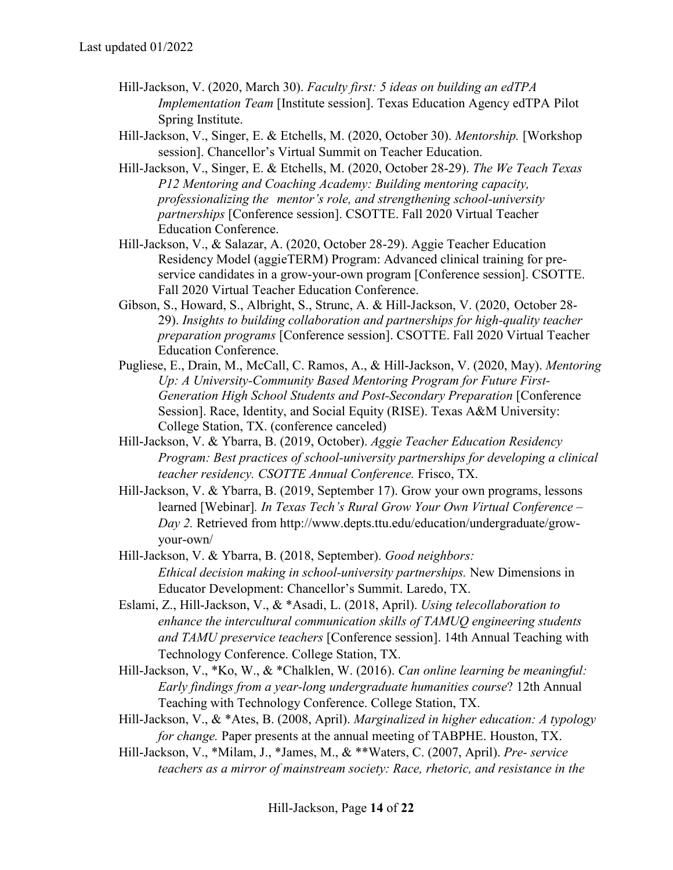- Hill-Jackson, V. (2020, March 30). *Faculty first: 5 ideas on building an edTPA Implementation Team [Institute session]. Texas Education Agency edTPA Pilot* Spring Institute.
- Hill-Jackson, V., Singer, E. & Etchells, M. (2020, October 30). *Mentorship.* [Workshop session]. Chancellor's Virtual Summit on Teacher Education.
- Hill-Jackson, V., Singer, E. & Etchells, M. (2020, October 28-29). *The We Teach Texas P12 Mentoring and Coaching Academy: Building mentoring capacity, professionalizing the mentor's role, and strengthening school-university partnerships* [Conference session]. CSOTTE. Fall 2020 Virtual Teacher Education Conference.
- Hill-Jackson, V., & Salazar, A. (2020, October 28-29). Aggie Teacher Education Residency Model (aggieTERM) Program: Advanced clinical training for preservice candidates in a grow-your-own program [Conference session]. CSOTTE. Fall 2020 Virtual Teacher Education Conference.
- Gibson, S., Howard, S., Albright, S., Strunc, A. & Hill-Jackson, V. (2020, October 28- 29). *Insights to building collaboration and partnerships for high-quality teacher preparation programs* [Conference session]. CSOTTE. Fall 2020 Virtual Teacher Education Conference.
- Pugliese, E., Drain, M., McCall, C. Ramos, A., & Hill-Jackson, V. (2020, May). *Mentoring Up: A University-Community Based Mentoring Program for Future First-Generation High School Students and Post-Secondary Preparation* [Conference Session]. Race, Identity, and Social Equity (RISE). Texas A&M University: College Station, TX. (conference canceled)
- Hill-Jackson, V. & Ybarra, B. (2019, October). *Aggie Teacher Education Residency Program: Best practices of school-university partnerships for developing a clinical teacher residency. CSOTTE Annual Conference.* Frisco, TX.
- Hill-Jackson, V. & Ybarra, B. (2019, September 17). Grow your own programs, lessons learned [Webinar]*. In Texas Tech's Rural Grow Your Own Virtual Conference – Day 2.* Retrieved from http://www.depts.ttu.edu/education/undergraduate/growyour-own/
- Hill-Jackson, V. & Ybarra, B. (2018, September). *Good neighbors: Ethical decision making in school-university partnerships.* New Dimensions in Educator Development: Chancellor's Summit. Laredo, TX.
- Eslami, Z., Hill-Jackson, V., & \*Asadi, L. (2018, April). *Using telecollaboration to enhance the intercultural communication skills of TAMUQ engineering students and TAMU preservice teachers* [Conference session]. 14th Annual Teaching with Technology Conference. College Station, TX.
- Hill-Jackson, V., \*Ko, W., & \*Chalklen, W. (2016). *Can online learning be meaningful: Early findings from a year-long undergraduate humanities course*? 12th Annual Teaching with Technology Conference. College Station, TX.
- Hill-Jackson, V., & \*Ates, B. (2008, April). *Marginalized in higher education: A typology for change.* Paper presents at the annual meeting of TABPHE. Houston, TX.
- Hill-Jackson, V., \*Milam, J., \*James, M., & \*\*Waters, C. (2007, April). *Pre- service teachers as a mirror of mainstream society: Race, rhetoric, and resistance in the*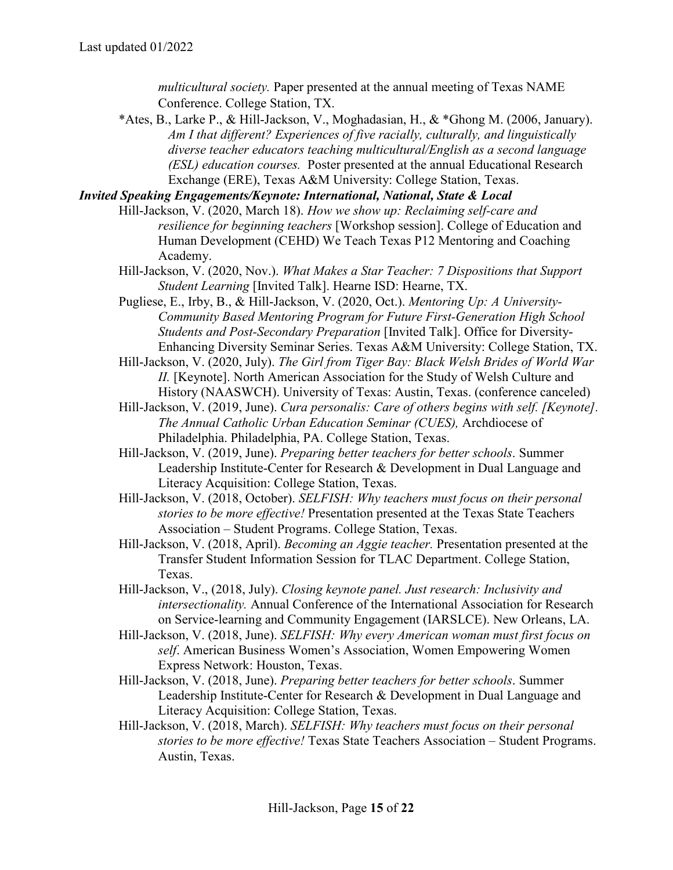*multicultural society.* Paper presented at the annual meeting of Texas NAME Conference. College Station, TX.

\*Ates, B., Larke P., & Hill-Jackson, V., Moghadasian, H., & \*Ghong M. (2006, January). *Am I that different? Experiences of five racially, culturally, and linguistically diverse teacher educators teaching multicultural/English as a second language (ESL) education courses.* Poster presented at the annual Educational Research Exchange (ERE), Texas A&M University: College Station, Texas.

*Invited Speaking Engagements/Keynote: International, National, State & Local* 

- Hill-Jackson, V. (2020, March 18). *How we show up: Reclaiming self-care and resilience for beginning teachers* [Workshop session]. College of Education and Human Development (CEHD) We Teach Texas P12 Mentoring and Coaching Academy.
	- Hill-Jackson, V. (2020, Nov.). *What Makes a Star Teacher: 7 Dispositions that Support Student Learning* [Invited Talk]. Hearne ISD: Hearne, TX.
	- Pugliese, E., Irby, B., & Hill-Jackson, V. (2020, Oct.). *Mentoring Up: A University-Community Based Mentoring Program for Future First-Generation High School Students and Post-Secondary Preparation* [Invited Talk]. Office for Diversity-Enhancing Diversity Seminar Series. Texas A&M University: College Station, TX.
	- Hill-Jackson, V. (2020, July). *The Girl from Tiger Bay: Black Welsh Brides of World War II.* [Keynote]. North American Association for the Study of Welsh Culture and History (NAASWCH). University of Texas: Austin, Texas. (conference canceled)
	- Hill-Jackson, V. (2019, June). *Cura personalis: Care of others begins with self. [Keynote]. The Annual Catholic Urban Education Seminar (CUES),* Archdiocese of Philadelphia. Philadelphia, PA. College Station, Texas.
	- Hill-Jackson, V. (2019, June). *Preparing better teachers for better schools*. Summer Leadership Institute-Center for Research & Development in Dual Language and Literacy Acquisition: College Station, Texas.
	- Hill-Jackson, V. (2018, October). *SELFISH: Why teachers must focus on their personal stories to be more effective!* Presentation presented at the Texas State Teachers Association – Student Programs. College Station, Texas.
	- Hill-Jackson, V. (2018, April). *Becoming an Aggie teacher.* Presentation presented at the Transfer Student Information Session for TLAC Department. College Station, Texas.
	- Hill-Jackson, V., (2018, July). *Closing keynote panel. Just research: Inclusivity and intersectionality.* Annual Conference of the International Association for Research on Service-learning and Community Engagement (IARSLCE). New Orleans, LA.
	- Hill-Jackson, V. (2018, June). *SELFISH: Why every American woman must first focus on self*. American Business Women's Association, Women Empowering Women Express Network: Houston, Texas.
	- Hill-Jackson, V. (2018, June). *Preparing better teachers for better schools*. Summer Leadership Institute-Center for Research & Development in Dual Language and Literacy Acquisition: College Station, Texas.
	- Hill-Jackson, V. (2018, March). *SELFISH: Why teachers must focus on their personal stories to be more effective!* Texas State Teachers Association – Student Programs. Austin, Texas.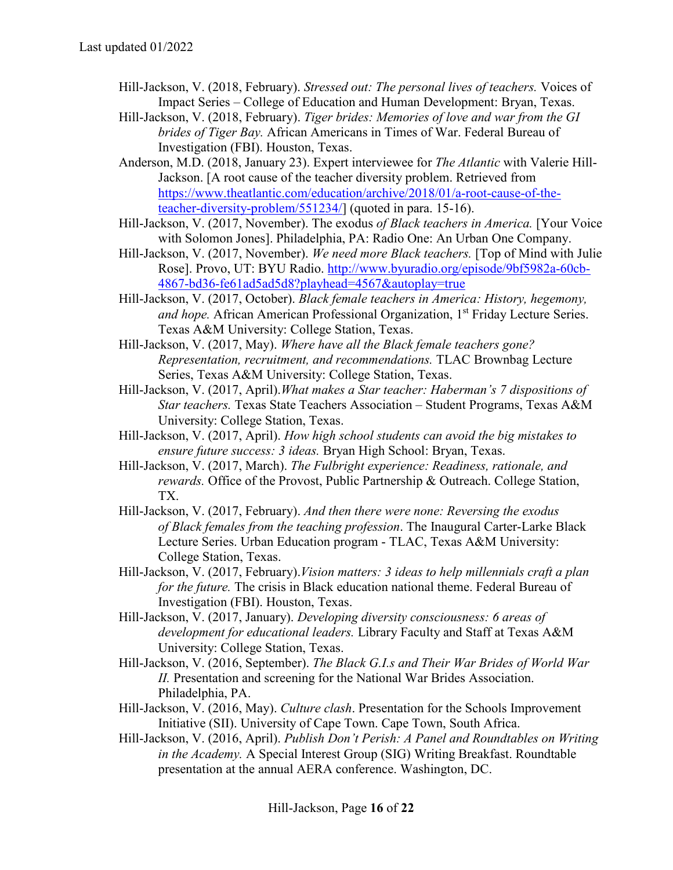- Hill-Jackson, V. (2018, February). *Stressed out: The personal lives of teachers.* Voices of Impact Series – College of Education and Human Development: Bryan, Texas.
- Hill-Jackson, V. (2018, February). *Tiger brides: Memories of love and war from the GI brides of Tiger Bay.* African Americans in Times of War. Federal Bureau of Investigation (FBI). Houston, Texas.
- Anderson, M.D. (2018, January 23). Expert interviewee for *The Atlantic* with Valerie Hill-Jackson. [A root cause of the teacher diversity problem. Retrieved from [https://www.theatlantic.com/education/archive/2018/01/a-root-cause-of-the](https://www.theatlantic.com/education/archive/2018/01/a-root-cause-of-the-teacher-diversity-problem/551234/)[teacher-diversity-problem/551234/\]](https://www.theatlantic.com/education/archive/2018/01/a-root-cause-of-the-teacher-diversity-problem/551234/) (quoted in para. 15-16).
- Hill-Jackson, V. (2017, November). The exodus *of Black teachers in America.* [Your Voice with Solomon Jones]. Philadelphia, PA: Radio One: An Urban One Company.
- Hill-Jackson, V. (2017, November). *We need more Black teachers.* [Top of Mind with Julie Rose]. Provo, UT: BYU Radio. [http://www.byuradio.org/episode/9bf5982a-60cb-](http://www.byuradio.org/episode/9bf5982a-60cb-4867-bd36-fe61ad5ad5d8?playhead=4567&autoplay=true)[4867-bd36-fe61ad5ad5d8?playhead=4567&autoplay=true](http://www.byuradio.org/episode/9bf5982a-60cb-4867-bd36-fe61ad5ad5d8?playhead=4567&autoplay=true)
- Hill-Jackson, V. (2017, October). *Black female teachers in America: History, hegemony,*  and hope. African American Professional Organization, 1<sup>st</sup> Friday Lecture Series. Texas A&M University: College Station, Texas.
- Hill-Jackson, V. (2017, May). *Where have all the Black female teachers gone? Representation, recruitment, and recommendations.* TLAC Brownbag Lecture Series, Texas A&M University: College Station, Texas.
- Hill-Jackson, V. (2017, April).*What makes a Star teacher: Haberman's 7 dispositions of Star teachers.* Texas State Teachers Association – Student Programs, Texas A&M University: College Station, Texas.
- Hill-Jackson, V. (2017, April). *How high school students can avoid the big mistakes to ensure future success: 3 ideas.* Bryan High School: Bryan, Texas.
- Hill-Jackson, V. (2017, March). *The Fulbright experience: Readiness, rationale, and rewards.* Office of the Provost, Public Partnership & Outreach. College Station, TX.
- Hill-Jackson, V. (2017, February). *And then there were none: Reversing the exodus of Black females from the teaching profession*. The Inaugural Carter-Larke Black Lecture Series. Urban Education program - TLAC, Texas A&M University: College Station, Texas.
- Hill-Jackson, V. (2017, February).*Vision matters: 3 ideas to help millennials craft a plan for the future.* The crisis in Black education national theme. Federal Bureau of Investigation (FBI). Houston, Texas.
- Hill-Jackson, V. (2017, January). *Developing diversity consciousness: 6 areas of development for educational leaders.* Library Faculty and Staff at Texas A&M University: College Station, Texas.
- Hill-Jackson, V. (2016, September). *The Black G.I.s and Their War Brides of World War II.* Presentation and screening for the National War Brides Association. Philadelphia, PA.
- Hill-Jackson, V. (2016, May). *Culture clash*. Presentation for the Schools Improvement Initiative (SII). University of Cape Town. Cape Town, South Africa.
- Hill-Jackson, V. (2016, April). *Publish Don't Perish: A Panel and Roundtables on Writing in the Academy.* A Special Interest Group (SIG) Writing Breakfast. Roundtable presentation at the annual AERA conference. Washington, DC.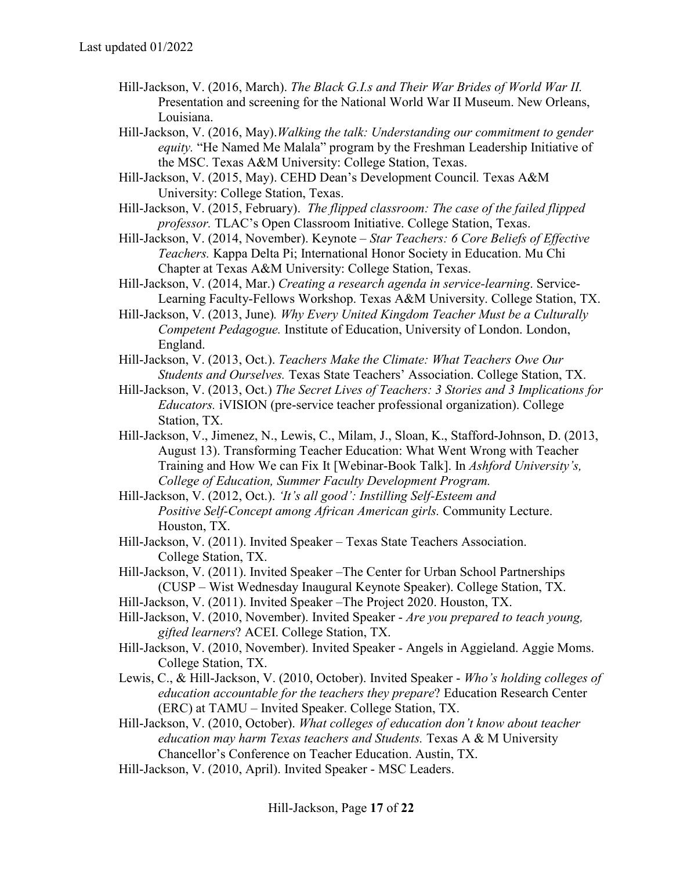- Hill-Jackson, V. (2016, March). *The Black G.I.s and Their War Brides of World War II.*  Presentation and screening for the National World War II Museum. New Orleans, Louisiana.
- Hill-Jackson, V. (2016, May).*Walking the talk: Understanding our commitment to gender equity.* "He Named Me Malala" program by the Freshman Leadership Initiative of the MSC. Texas A&M University: College Station, Texas.
- Hill-Jackson, V. (2015, May). CEHD Dean's Development Council*.* Texas A&M University: College Station, Texas.
- Hill-Jackson, V. (2015, February). *The flipped classroom: The case of the failed flipped professor.* TLAC's Open Classroom Initiative. College Station, Texas.
- Hill-Jackson, V. (2014, November). Keynote *Star Teachers: 6 Core Beliefs of Effective Teachers.* Kappa Delta Pi; International Honor Society in Education. Mu Chi Chapter at Texas A&M University: College Station, Texas.
- Hill-Jackson, V. (2014, Mar.) *Creating a research agenda in service-learning*. Service-Learning Faculty-Fellows Workshop. Texas A&M University. College Station, TX.
- Hill-Jackson, V. (2013, June)*. Why Every United Kingdom Teacher Must be a Culturally Competent Pedagogue.* Institute of Education, University of London. London, England.
- Hill-Jackson, V. (2013, Oct.). *Teachers Make the Climate: What Teachers Owe Our Students and Ourselves.* Texas State Teachers' Association. College Station, TX.
- Hill-Jackson, V. (2013, Oct.) *The Secret Lives of Teachers: 3 Stories and 3 Implications for Educators.* iVISION (pre-service teacher professional organization). College Station, TX.
- Hill-Jackson, V., Jimenez, N., Lewis, C., Milam, J., Sloan, K., Stafford-Johnson, D. (2013, August 13). Transforming Teacher Education: What Went Wrong with Teacher Training and How We can Fix It [Webinar-Book Talk]. In *Ashford University's, College of Education, Summer Faculty Development Program.*
- Hill-Jackson, V. (2012, Oct.). *'It's all good': Instilling Self-Esteem and Positive Self-Concept among African American girls.* Community Lecture. Houston, TX.
- Hill-Jackson, V. (2011). Invited Speaker Texas State Teachers Association. College Station, TX.
- Hill-Jackson, V. (2011). Invited Speaker –The Center for Urban School Partnerships (CUSP – Wist Wednesday Inaugural Keynote Speaker). College Station, TX.
- Hill-Jackson, V. (2011). Invited Speaker –The Project 2020. Houston, TX.
- Hill-Jackson, V. (2010, November). Invited Speaker *Are you prepared to teach young, gifted learners*? ACEI. College Station, TX.
- Hill-Jackson, V. (2010, November). Invited Speaker Angels in Aggieland. Aggie Moms. College Station, TX.
- Lewis, C., & Hill-Jackson, V. (2010, October). Invited Speaker *Who's holding colleges of education accountable for the teachers they prepare*? Education Research Center (ERC) at TAMU – Invited Speaker. College Station, TX.
- Hill-Jackson, V. (2010, October). *What colleges of education don't know about teacher education may harm Texas teachers and Students.* Texas A & M University Chancellor's Conference on Teacher Education. Austin, TX.
- Hill-Jackson, V. (2010, April). Invited Speaker MSC Leaders.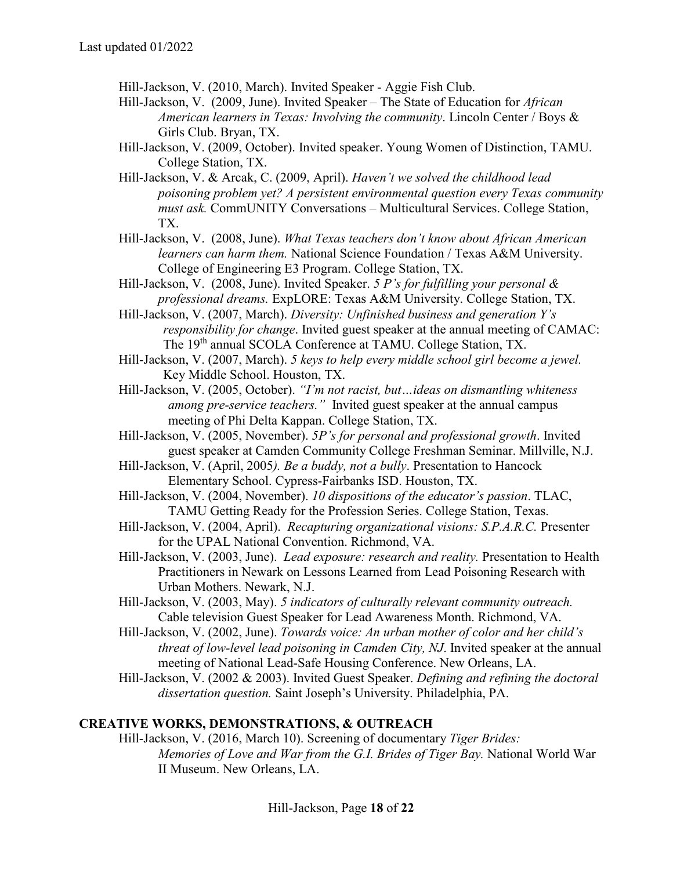Hill-Jackson, V. (2010, March). Invited Speaker - Aggie Fish Club.

- Hill-Jackson, V. (2009, June). Invited Speaker The State of Education for *African American learners in Texas: Involving the community*. Lincoln Center / Boys & Girls Club. Bryan, TX.
- Hill-Jackson, V. (2009, October). Invited speaker. Young Women of Distinction, TAMU. College Station, TX.
- Hill-Jackson, V. & Arcak, C. (2009, April). *Haven't we solved the childhood lead poisoning problem yet? A persistent environmental question every Texas community must ask.* CommUNITY Conversations – Multicultural Services. College Station, TX.
- Hill-Jackson, V. (2008, June). *What Texas teachers don't know about African American learners can harm them.* National Science Foundation / Texas A&M University. College of Engineering E3 Program. College Station, TX.
- Hill-Jackson, V. (2008, June). Invited Speaker. *5 P's for fulfilling your personal & professional dreams.* ExpLORE: Texas A&M University. College Station, TX.
- Hill-Jackson, V. (2007, March). *Diversity: Unfinished business and generation Y's responsibility for change*. Invited guest speaker at the annual meeting of CAMAC: The 19<sup>th</sup> annual SCOLA Conference at TAMU. College Station, TX.
- Hill-Jackson, V. (2007, March). *5 keys to help every middle school girl become a jewel.*  Key Middle School. Houston, TX.
- Hill-Jackson, V. (2005, October). *"I'm not racist, but…ideas on dismantling whiteness among pre-service teachers."* Invited guest speaker at the annual campus meeting of Phi Delta Kappan. College Station, TX.
- Hill-Jackson, V. (2005, November). *5P's for personal and professional growth*. Invited guest speaker at Camden Community College Freshman Seminar. Millville, N.J.
- Hill-Jackson, V. (April, 2005*). Be a buddy, not a bully*. Presentation to Hancock Elementary School. Cypress-Fairbanks ISD. Houston, TX.
- Hill-Jackson, V. (2004, November). *10 dispositions of the educator's passion*. TLAC, TAMU Getting Ready for the Profession Series. College Station, Texas.
- Hill-Jackson, V. (2004, April). *Recapturing organizational visions: S.P.A.R.C.* Presenter for the UPAL National Convention. Richmond, VA.
- Hill-Jackson, V. (2003, June). *Lead exposure: research and reality.* Presentation to Health Practitioners in Newark on Lessons Learned from Lead Poisoning Research with Urban Mothers. Newark, N.J.
- Hill-Jackson, V. (2003, May). *5 indicators of culturally relevant community outreach.* Cable television Guest Speaker for Lead Awareness Month. Richmond, VA.
- Hill-Jackson, V. (2002, June). *Towards voice: An urban mother of color and her child's threat of low-level lead poisoning in Camden City, NJ*. Invited speaker at the annual meeting of National Lead-Safe Housing Conference. New Orleans, LA.
- Hill-Jackson, V. (2002 & 2003). Invited Guest Speaker. *Defining and refining the doctoral dissertation question.* Saint Joseph's University. Philadelphia, PA.

#### **CREATIVE WORKS, DEMONSTRATIONS, & OUTREACH**

Hill-Jackson, V. (2016, March 10). Screening of documentary *Tiger Brides: Memories of Love and War from the G.I. Brides of Tiger Bay.* National World War II Museum. New Orleans, LA.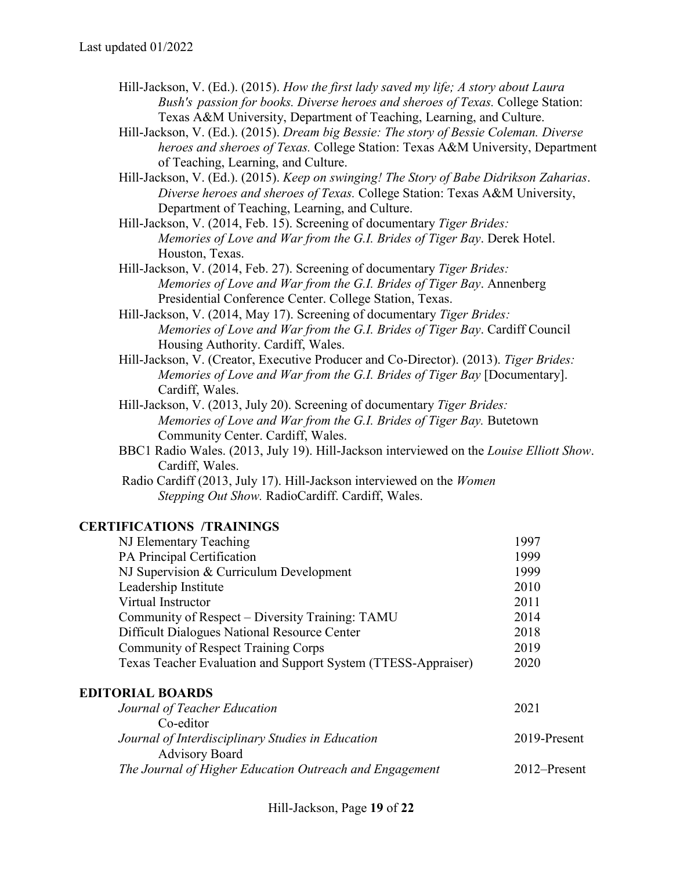- Hill-Jackson, V. (Ed.). (2015). *How the first lady saved my life; A story about Laura Bush's passion for books. Diverse heroes and sheroes of Texas.* College Station: Texas A&M University, Department of Teaching, Learning, and Culture.
- Hill-Jackson, V. (Ed.). (2015). *Dream big Bessie: The story of Bessie Coleman. Diverse heroes and sheroes of Texas.* College Station: Texas A&M University, Department of Teaching, Learning, and Culture.
- Hill-Jackson, V. (Ed.). (2015). *Keep on swinging! The Story of Babe Didrikson Zaharias*. *Diverse heroes and sheroes of Texas.* College Station: Texas A&M University, Department of Teaching, Learning, and Culture.
- Hill-Jackson, V. (2014, Feb. 15). Screening of documentary *Tiger Brides: Memories of Love and War from the G.I. Brides of Tiger Bay*. Derek Hotel. Houston, Texas.
- Hill-Jackson, V. (2014, Feb. 27). Screening of documentary *Tiger Brides: Memories of Love and War from the G.I. Brides of Tiger Bay*. Annenberg Presidential Conference Center. College Station, Texas.
- Hill-Jackson, V. (2014, May 17). Screening of documentary *Tiger Brides: Memories of Love and War from the G.I. Brides of Tiger Bay*. Cardiff Council Housing Authority. Cardiff, Wales.
- Hill-Jackson, V. (Creator, Executive Producer and Co-Director). (2013). *Tiger Brides: Memories of Love and War from the G.I. Brides of Tiger Bay [Documentary].* Cardiff, Wales.
- Hill-Jackson, V. (2013, July 20). Screening of documentary *Tiger Brides: Memories of Love and War from the G.I. Brides of Tiger Bay.* Butetown Community Center. Cardiff, Wales.
- BBC1 Radio Wales. (2013, July 19). Hill-Jackson interviewed on the *Louise Elliott Show*. Cardiff, Wales.
- Radio Cardiff (2013, July 17). Hill-Jackson interviewed on the *Women Stepping Out Show.* RadioCardiff. Cardiff, Wales.

#### **CERTIFICATIONS /TRAININGS**

| NJ Elementary Teaching                                        | 1997 |
|---------------------------------------------------------------|------|
| PA Principal Certification                                    | 1999 |
| NJ Supervision & Curriculum Development                       | 1999 |
| Leadership Institute                                          | 2010 |
| Virtual Instructor                                            | 2011 |
| Community of Respect – Diversity Training: TAMU               | 2014 |
| Difficult Dialogues National Resource Center                  | 2018 |
| <b>Community of Respect Training Corps</b>                    | 2019 |
| Texas Teacher Evaluation and Support System (TTESS-Appraiser) | 2020 |

#### **EDITORIAL BOARDS**

| Journal of Teacher Education                                               |  |
|----------------------------------------------------------------------------|--|
| Co-editor                                                                  |  |
| Journal of Interdisciplinary Studies in Education<br>2019-Present          |  |
| <b>Advisory Board</b>                                                      |  |
| The Journal of Higher Education Outreach and Engagement<br>$2012$ -Present |  |

Hill-Jackson, Page **19** of **22**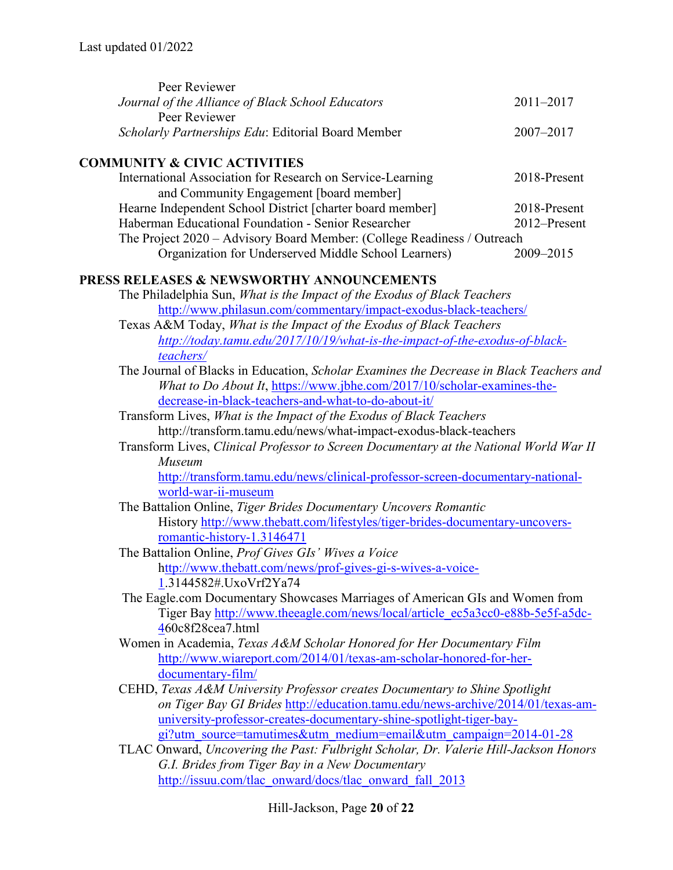| Peer Reviewer                                                                           |               |  |
|-----------------------------------------------------------------------------------------|---------------|--|
| Journal of the Alliance of Black School Educators                                       | $2011 - 2017$ |  |
| Peer Reviewer                                                                           |               |  |
| Scholarly Partnerships Edu: Editorial Board Member                                      | 2007-2017     |  |
| <b>COMMUNITY &amp; CIVIC ACTIVITIES</b>                                                 |               |  |
| International Association for Research on Service-Learning                              | 2018-Present  |  |
| and Community Engagement [board member]                                                 |               |  |
| Hearne Independent School District [charter board member]                               | 2018-Present  |  |
| Haberman Educational Foundation - Senior Researcher                                     | 2012-Present  |  |
| The Project 2020 - Advisory Board Member: (College Readiness / Outreach                 |               |  |
| Organization for Underserved Middle School Learners)                                    | 2009-2015     |  |
| <b>PRESS RELEASES &amp; NEWSWORTHY ANNOUNCEMENTS</b>                                    |               |  |
| The Philadelphia Sun, What is the Impact of the Exodus of Black Teachers                |               |  |
| http://www.philasun.com/commentary/impact-exodus-black-teachers/                        |               |  |
| Texas A&M Today, What is the Impact of the Exodus of Black Teachers                     |               |  |
| http://today.tamu.edu/2017/10/19/what-is-the-impact-of-the-exodus-of-black-             |               |  |
| teachers/                                                                               |               |  |
| The Journal of Blacks in Education, Scholar Examines the Decrease in Black Teachers and |               |  |
| What to Do About It, https://www.jbhe.com/2017/10/scholar-examines-the-                 |               |  |
| decrease-in-black-teachers-and-what-to-do-about-it/                                     |               |  |
| Transform Lives, What is the Impact of the Exodus of Black Teachers                     |               |  |
| http://transform.tamu.edu/news/what-impact-exodus-black-teachers                        |               |  |
| Transform Lives, Clinical Professor to Screen Documentary at the National World War II  |               |  |
| Museum                                                                                  |               |  |
| http://transform.tamu.edu/news/clinical-professor-screen-documentary-national-          |               |  |
| world-war-ii-museum                                                                     |               |  |
| The Battalion Online, Tiger Brides Documentary Uncovers Romantic                        |               |  |
| History http://www.thebatt.com/lifestyles/tiger-brides-documentary-uncovers-            |               |  |
| romantic-history-1.3146471                                                              |               |  |
| The Battalion Online, Prof Gives GIs' Wives a Voice                                     |               |  |
| http://www.thebatt.com/news/prof-gives-gi-s-wives-a-voice-                              |               |  |
| 1.3144582#.UxoVrf2Ya74                                                                  |               |  |
| The Eagle.com Documentary Showcases Marriages of American GIs and Women from            |               |  |
| Tiger Bay http://www.theeagle.com/news/local/article_ec5a3cc0-e88b-5e5f-a5dc-           |               |  |
| 460c8f28cea7.html                                                                       |               |  |
| Women in Academia, Texas A&M Scholar Honored for Her Documentary Film                   |               |  |
| http://www.wiareport.com/2014/01/texas-am-scholar-honored-for-her-                      |               |  |
| documentary-film/                                                                       |               |  |
| CEHD, Texas A&M University Professor creates Documentary to Shine Spotlight             |               |  |
| on Tiger Bay GI Brides http://education.tamu.edu/news-archive/2014/01/texas-am-         |               |  |
| university-professor-creates-documentary-shine-spotlight-tiger-bay-                     |               |  |
| gi?utm_source=tamutimes&utm_medium=email&utm_campaign=2014-01-28                        |               |  |
| TLAC Onward, Uncovering the Past: Fulbright Scholar, Dr. Valerie Hill-Jackson Honors    |               |  |
| G.I. Brides from Tiger Bay in a New Documentary                                         |               |  |
| http://issuu.com/tlac_onward/docs/tlac_onward_fall_2013                                 |               |  |
|                                                                                         |               |  |

Hill-Jackson, Page **20** of **22**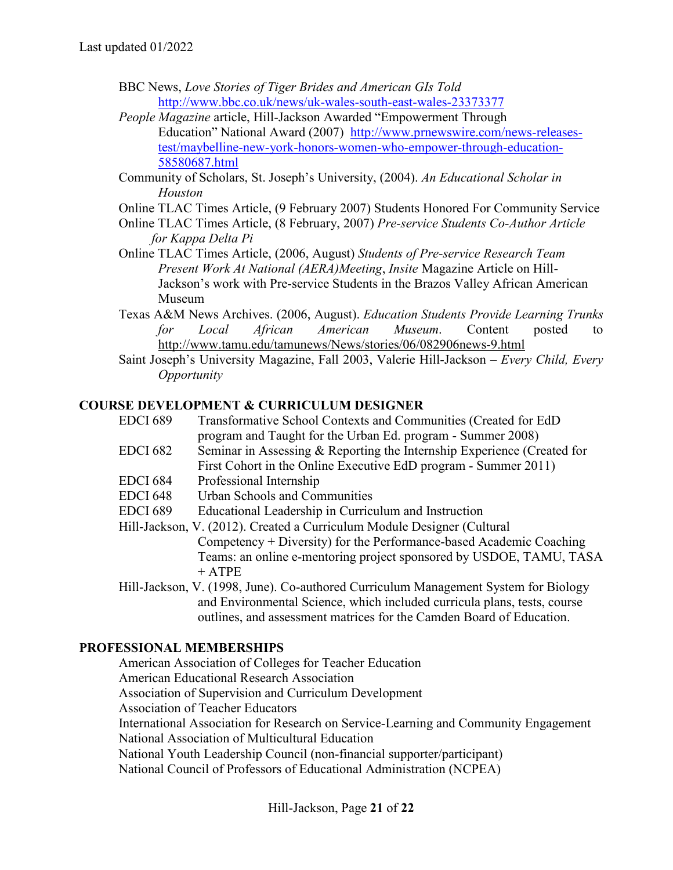- BBC News, *Love Stories of Tiger Brides and American GIs Told* <http://www.bbc.co.uk/news/uk-wales-south-east-wales-23373377>
- *People Magazine* article, Hill-Jackson Awarded "Empowerment Through Education" National Award (2007) [http://www.prnewswire.com/news-releases](http://www.prnewswire.com/news-releases-test/maybelline-new-york-honors-women-who-empower-through-education-58580687.html)[test/maybelline-new-york-honors-women-who-empower-through-education-](http://www.prnewswire.com/news-releases-test/maybelline-new-york-honors-women-who-empower-through-education-58580687.html)[58580687.html](http://www.prnewswire.com/news-releases-test/maybelline-new-york-honors-women-who-empower-through-education-58580687.html)
- Community of Scholars, St. Joseph's University, (2004). *An Educational Scholar in Houston*
- Online TLAC Times Article, (9 February 2007) Students Honored For Community Service
- Online TLAC Times Article, (8 February, 2007) *Pre-service Students Co-Author Article for Kappa Delta Pi*
- Online TLAC Times Article, (2006, August) *Students of Pre-service Research Team Present Work At National (AERA)Meeting*, *Insite* Magazine Article on Hill-Jackson's work with Pre-service Students in the Brazos Valley African American Museum
- Texas A&M News Archives. (2006, August). *Education Students Provide Learning Trunks for Local African American Museum*. Content posted to <http://www.tamu.edu/tamunews/News/stories/06/082906news-9.html>
- Saint Joseph's University Magazine, Fall 2003, Valerie Hill-Jackson *Every Child, Every Opportunity*

# **COURSE DEVELOPMENT & CURRICULUM DESIGNER**

- EDCI 689 Transformative School Contexts and Communities (Created for EdD program and Taught for the Urban Ed. program - Summer 2008)
- EDCI 682 Seminar in Assessing & Reporting the Internship Experience (Created for
- First Cohort in the Online Executive EdD program Summer 2011)
- EDCI 684 Professional Internship
- EDCI 648 Urban Schools and Communities
- EDCI 689 Educational Leadership in Curriculum and Instruction
- Hill-Jackson, V. (2012). Created a Curriculum Module Designer (Cultural Competency + Diversity) for the Performance-based Academic Coaching Teams: an online e-mentoring project sponsored by USDOE, TAMU, TASA + ATPE
- Hill-Jackson, V. (1998, June). Co-authored Curriculum Management System for Biology and Environmental Science, which included curricula plans, tests, course outlines, and assessment matrices for the Camden Board of Education.

# **PROFESSIONAL MEMBERSHIPS**

American Association of Colleges for Teacher Education American Educational Research Association Association of Supervision and Curriculum Development Association of Teacher Educators International Association for Research on Service-Learning and Community Engagement National Association of Multicultural Education National Youth Leadership Council (non-financial supporter/participant) National Council of Professors of Educational Administration (NCPEA)